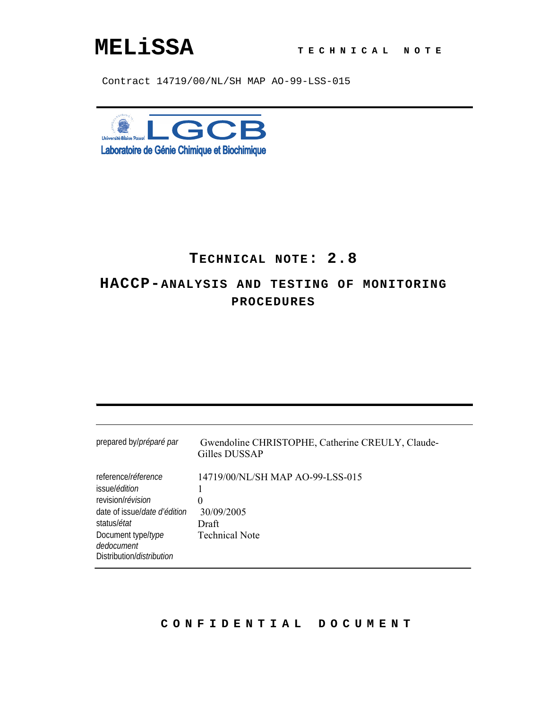# **MELiSSA T ECHNICAL NOTE**

Contract 14719/00/NL/SH MAP AO-99-LSS-015



# **TECHNICAL NOTE: 2.8**

# **HACCP-ANALYSIS AND TESTING OF MONITORING PROCEDURES**

| prepared by/préparé par                                                                                                                                                                                           | Gwendoline CHRISTOPHE, Catherine CREULY, Claude-<br>Gilles DUSSAP                     |
|-------------------------------------------------------------------------------------------------------------------------------------------------------------------------------------------------------------------|---------------------------------------------------------------------------------------|
| reference/réference<br>issue/ <i>édition</i><br>revision/ <i>révision</i><br>date of issue/ <i>date d'édition</i><br>status/ <i>état</i><br>Document type/type<br>dedocument<br>Distribution/ <i>distribution</i> | 14719/00/NL/SH MAP AO-99-LSS-015<br>0<br>30/09/2005<br>Draft<br><b>Technical Note</b> |

### **CONFIDENTIAL DOCUMENT**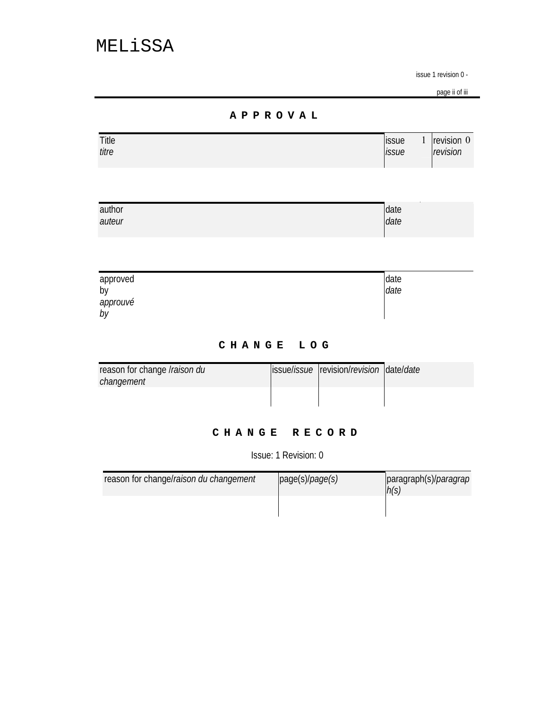page ii of iii

### **APPROVAL**

| Title | <i>issue</i> | revision 0 |
|-------|--------------|------------|
| titre | issue        | revision   |
|       |              |            |
|       |              |            |

| author | date |
|--------|------|
| auteur | date |
|        |      |

| approved<br>by | date<br>date |
|----------------|--------------|
| approuvé       |              |
| by             |              |

## **CHANGE LOG**

| reason for change <i>Iraison du</i> | ssuelissue revision/revision date/date |  |
|-------------------------------------|----------------------------------------|--|
| changement                          |                                        |  |
|                                     |                                        |  |
|                                     |                                        |  |

### **CHANGE RECORD**

Issue: 1 Revision: 0

| reason for change/raison du changement | page(s)/page(s) | paragraph(s)/ <i>paragrap</i><br>h(s) |
|----------------------------------------|-----------------|---------------------------------------|
|                                        |                 |                                       |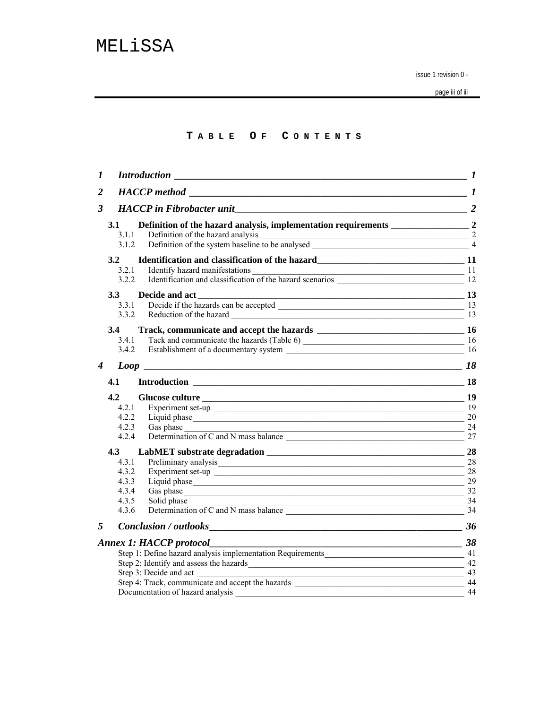page iii of iii

### **T ABLE O F C ONTENTS**

| $\boldsymbol{l}$ |              | <b>Introduction</b>                                                                                                                                                                                                            |     |
|------------------|--------------|--------------------------------------------------------------------------------------------------------------------------------------------------------------------------------------------------------------------------------|-----|
| $\overline{2}$   |              | HACCP method 1                                                                                                                                                                                                                 |     |
| 3                |              | <b>HACCP</b> in Fibrobacter unit                                                                                                                                                                                               |     |
|                  | 3.1<br>3.1.1 |                                                                                                                                                                                                                                |     |
|                  | 3.1.2        |                                                                                                                                                                                                                                |     |
|                  | 3.2          |                                                                                                                                                                                                                                |     |
|                  | 3.2.1        | Identify hazard manifestations 11<br>Identification and classification of the hazard scenarios 12<br>12                                                                                                                        |     |
|                  | 3.2.2        |                                                                                                                                                                                                                                |     |
|                  | 3.3          |                                                                                                                                                                                                                                |     |
|                  | 3.3.1        |                                                                                                                                                                                                                                |     |
|                  | 3.3.2        | Reduction of the hazard 13                                                                                                                                                                                                     |     |
|                  | 3.4          |                                                                                                                                                                                                                                |     |
|                  | 3.4.1        |                                                                                                                                                                                                                                |     |
|                  | 3.4.2        |                                                                                                                                                                                                                                |     |
| 4                |              |                                                                                                                                                                                                                                | 18  |
|                  | 4.1          |                                                                                                                                                                                                                                |     |
|                  | 4.2          |                                                                                                                                                                                                                                |     |
|                  | 4.2.1        |                                                                                                                                                                                                                                | -19 |
|                  | 4.2.2        |                                                                                                                                                                                                                                | 20  |
|                  | 4.2.3        | Gas phase<br><u> 1989 - Johann John Stone, mars and de film and de film and de film and de film and de film and de film and de</u>                                                                                             | 24  |
|                  | 4.2.4        | Determination of C and N mass balance                                                                                                                                                                                          | 27  |
|                  | 4.3          |                                                                                                                                                                                                                                |     |
|                  | 4.3.1        | Preliminary analysis expression and the contract of the contract of the contract of the contract of the contract of the contract of the contract of the contract of the contract of the contract of the contract of the contra | 28  |
|                  | 4.3.2        |                                                                                                                                                                                                                                | 28  |
|                  | 4.3.3        |                                                                                                                                                                                                                                | 29  |
|                  | 4.3.4        |                                                                                                                                                                                                                                |     |
|                  | 4.3.5        | Solid phase                                                                                                                                                                                                                    | 34  |
|                  | 4.3.6        | Determination of C and N mass balance 34                                                                                                                                                                                       |     |
| 5                |              |                                                                                                                                                                                                                                | 36  |
|                  |              | $\frac{38}{2}$<br><b>Annex 1: HACCP protocol_</b>                                                                                                                                                                              |     |
|                  |              | Step 1: Define hazard analysis implementation Requirements                                                                                                                                                                     | 41  |
|                  |              |                                                                                                                                                                                                                                | 42  |
|                  |              | Step 3: Decide and act                                                                                                                                                                                                         | 43  |
|                  |              |                                                                                                                                                                                                                                | 44  |
|                  |              | Documentation of hazard analysis                                                                                                                                                                                               | 44  |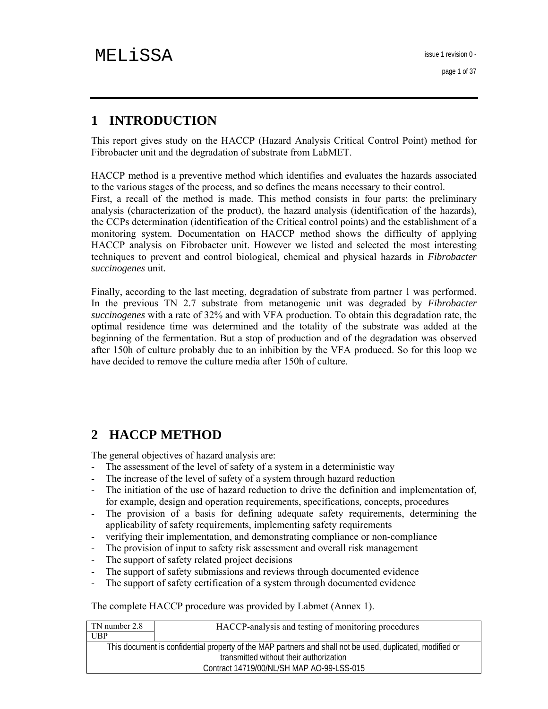# **1 INTRODUCTION**

This report gives study on the HACCP (Hazard Analysis Critical Control Point) method for Fibrobacter unit and the degradation of substrate from LabMET.

HACCP method is a preventive method which identifies and evaluates the hazards associated to the various stages of the process, and so defines the means necessary to their control.

First, a recall of the method is made. This method consists in four parts; the preliminary analysis (characterization of the product), the hazard analysis (identification of the hazards), the CCPs determination (identification of the Critical control points) and the establishment of a monitoring system. Documentation on HACCP method shows the difficulty of applying HACCP analysis on Fibrobacter unit. However we listed and selected the most interesting techniques to prevent and control biological, chemical and physical hazards in *Fibrobacter succinogenes* unit.

Finally, according to the last meeting, degradation of substrate from partner 1 was performed. In the previous TN 2.7 substrate from metanogenic unit was degraded by *Fibrobacter succinogenes* with a rate of 32% and with VFA production. To obtain this degradation rate, the optimal residence time was determined and the totality of the substrate was added at the beginning of the fermentation. But a stop of production and of the degradation was observed after 150h of culture probably due to an inhibition by the VFA produced. So for this loop we have decided to remove the culture media after 150h of culture.

# **2 HACCP METHOD**

The general objectives of hazard analysis are:

- The assessment of the level of safety of a system in a deterministic way
- The increase of the level of safety of a system through hazard reduction
- The initiation of the use of hazard reduction to drive the definition and implementation of, for example, design and operation requirements, specifications, concepts, procedures
- The provision of a basis for defining adequate safety requirements, determining the applicability of safety requirements, implementing safety requirements
- verifying their implementation, and demonstrating compliance or non-compliance
- The provision of input to safety risk assessment and overall risk management
- The support of safety related project decisions
- The support of safety submissions and reviews through documented evidence
- The support of safety certification of a system through documented evidence

The complete HACCP procedure was provided by Labmet (Annex 1).

| TN number 2.8 | HACCP-analysis and testing of monitoring procedures                                                       |
|---------------|-----------------------------------------------------------------------------------------------------------|
| UBP           |                                                                                                           |
|               | This document is confidential property of the MAP partners and shall not be used, duplicated, modified or |
|               | transmitted without their authorization                                                                   |
|               | Contract 14719/00/NL/SH MAP AO-99-LSS-015                                                                 |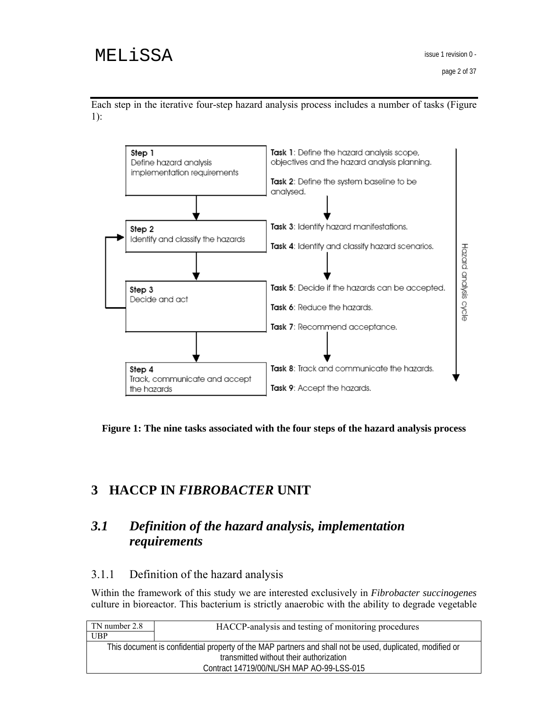



**Figure 1: The nine tasks associated with the four steps of the hazard analysis process** 

# **3 HACCP IN** *FIBROBACTER* **UNIT**

# *3.1 Definition of the hazard analysis, implementation requirements*

# 3.1.1 Definition of the hazard analysis

Within the framework of this study we are interested exclusively in *Fibrobacter succinogenes* culture in bioreactor. This bacterium is strictly anaerobic with the ability to degrade vegetable

| TN number 2.8 | HACCP-analysis and testing of monitoring procedures                                                       |
|---------------|-----------------------------------------------------------------------------------------------------------|
| UBP           |                                                                                                           |
|               | This document is confidential property of the MAP partners and shall not be used, duplicated, modified or |
|               | transmitted without their authorization                                                                   |
|               | Contract 14719/00/NL/SH MAP AO-99-LSS-015                                                                 |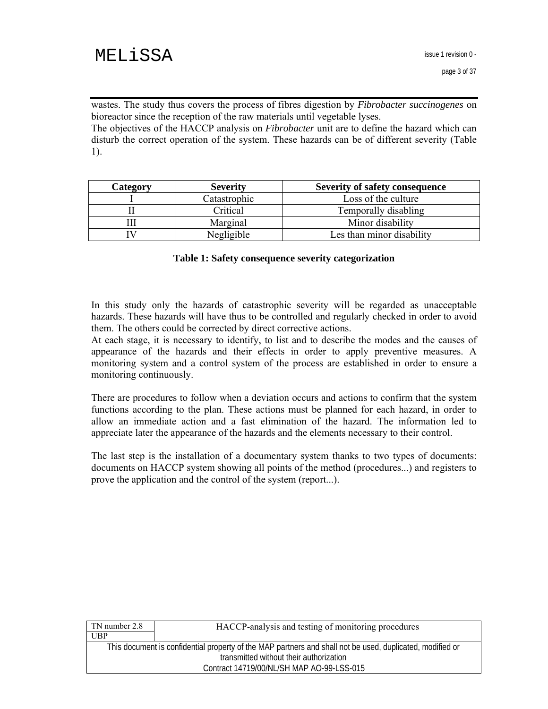wastes. The study thus covers the process of fibres digestion by *Fibrobacter succinogenes* on bioreactor since the reception of the raw materials until vegetable lyses.

The objectives of the HACCP analysis on *Fibrobacter* unit are to define the hazard which can disturb the correct operation of the system. These hazards can be of different severity (Table 1).

| <b>Category</b> | <b>Severity</b> | <b>Severity of safety consequence</b> |
|-----------------|-----------------|---------------------------------------|
|                 | Catastrophic    | Loss of the culture                   |
|                 | Critical        | Temporally disabling                  |
|                 | Marginal        | Minor disability                      |
|                 | Negligible      | Les than minor disability             |

#### **Table 1: Safety consequence severity categorization**

In this study only the hazards of catastrophic severity will be regarded as unacceptable hazards. These hazards will have thus to be controlled and regularly checked in order to avoid them. The others could be corrected by direct corrective actions.

At each stage, it is necessary to identify, to list and to describe the modes and the causes of appearance of the hazards and their effects in order to apply preventive measures. A monitoring system and a control system of the process are established in order to ensure a monitoring continuously.

There are procedures to follow when a deviation occurs and actions to confirm that the system functions according to the plan. These actions must be planned for each hazard, in order to allow an immediate action and a fast elimination of the hazard. The information led to appreciate later the appearance of the hazards and the elements necessary to their control.

The last step is the installation of a documentary system thanks to two types of documents: documents on HACCP system showing all points of the method (procedures...) and registers to prove the application and the control of the system (report...).

| TN number 2.8 | HACCP-analysis and testing of monitoring procedures                                                       |
|---------------|-----------------------------------------------------------------------------------------------------------|
| UBP           |                                                                                                           |
|               | This document is confidential property of the MAP partners and shall not be used, duplicated, modified or |
|               | transmitted without their authorization                                                                   |
|               | Contract 14719/00/NL/SH MAP AO-99-LSS-015                                                                 |
|               |                                                                                                           |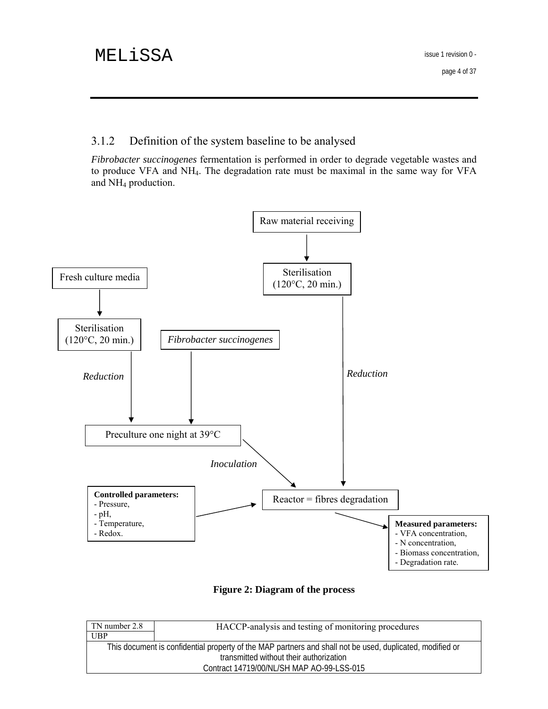# 3.1.2 Definition of the system baseline to be analysed

*Fibrobacter succinogenes* fermentation is performed in order to degrade vegetable wastes and to produce VFA and NH4. The degradation rate must be maximal in the same way for VFA and NH4 production.



**Figure 2: Diagram of the process** 

| TN number 2.8 | HACCP-analysis and testing of monitoring procedures                                                       |
|---------------|-----------------------------------------------------------------------------------------------------------|
| <b>UBP</b>    |                                                                                                           |
|               | This document is confidential property of the MAP partners and shall not be used, duplicated, modified or |
|               | transmitted without their authorization                                                                   |
|               | Contract 14719/00/NL/SH MAP AO-99-LSS-015                                                                 |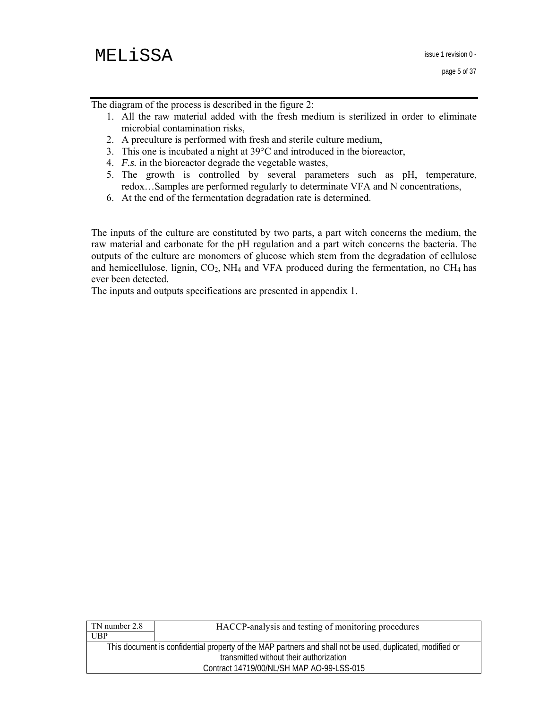The diagram of the process is described in the figure 2:

- 1. All the raw material added with the fresh medium is sterilized in order to eliminate microbial contamination risks,
- 2. A preculture is performed with fresh and sterile culture medium,
- 3. This one is incubated a night at 39°C and introduced in the bioreactor,
- 4. *F.s.* in the bioreactor degrade the vegetable wastes,
- 5. The growth is controlled by several parameters such as pH, temperature, redox…Samples are performed regularly to determinate VFA and N concentrations,
- 6. At the end of the fermentation degradation rate is determined.

The inputs of the culture are constituted by two parts, a part witch concerns the medium, the raw material and carbonate for the pH regulation and a part witch concerns the bacteria. The outputs of the culture are monomers of glucose which stem from the degradation of cellulose and hemicellulose, lignin,  $CO<sub>2</sub>$ , NH<sub>4</sub> and VFA produced during the fermentation, no CH<sub>4</sub> has ever been detected.

The inputs and outputs specifications are presented in appendix 1.

| TN number 2.8 | HACCP-analysis and testing of monitoring procedures                                                       |
|---------------|-----------------------------------------------------------------------------------------------------------|
| <b>UBP</b>    |                                                                                                           |
|               | This document is confidential property of the MAP partners and shall not be used, duplicated, modified or |
|               | transmitted without their authorization                                                                   |
|               | Contract 14719/00/NL/SH MAP AO-99-LSS-015                                                                 |
|               |                                                                                                           |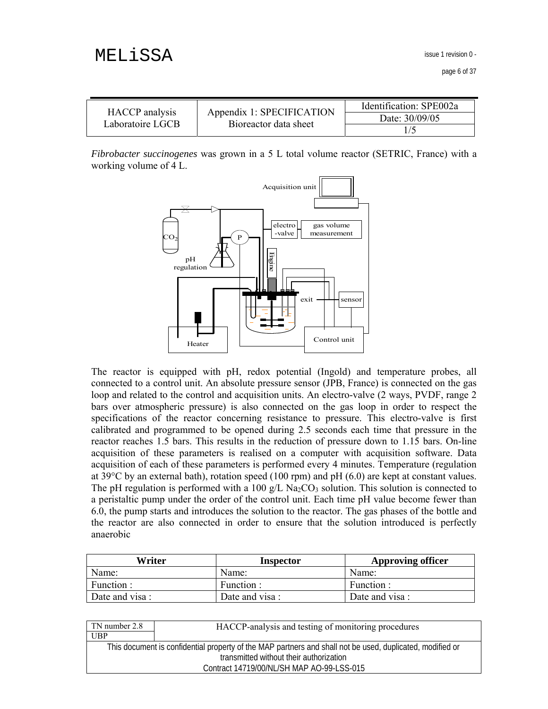issue 1 revision 0 -

page 6 of 37

|                                    | Appendix 1: SPECIFICATION<br>Bioreactor data sheet | Identification: SPE002a |
|------------------------------------|----------------------------------------------------|-------------------------|
| HACCP analysis<br>Laboratoire LGCB |                                                    | Date: 30/09/05          |
|                                    |                                                    |                         |

*Fibrobacter succinogenes* was grown in a 5 L total volume reactor (SETRIC, France) with a working volume of 4 L.



The reactor is equipped with pH, redox potential (Ingold) and temperature probes, all connected to a control unit. An absolute pressure sensor (JPB, France) is connected on the gas loop and related to the control and acquisition units. An electro-valve (2 ways, PVDF, range 2 bars over atmospheric pressure) is also connected on the gas loop in order to respect the specifications of the reactor concerning resistance to pressure. This electro-valve is first calibrated and programmed to be opened during 2.5 seconds each time that pressure in the reactor reaches 1.5 bars. This results in the reduction of pressure down to 1.15 bars. On-line acquisition of these parameters is realised on a computer with acquisition software. Data acquisition of each of these parameters is performed every 4 minutes. Temperature (regulation at 39°C by an external bath), rotation speed (100 rpm) and pH (6.0) are kept at constant values. The pH regulation is performed with a 100 g/L Na<sub>2</sub>CO<sub>3</sub> solution. This solution is connected to a peristaltic pump under the order of the control unit. Each time pH value become fewer than 6.0, the pump starts and introduces the solution to the reactor. The gas phases of the bottle and the reactor are also connected in order to ensure that the solution introduced is perfectly anaerobic For The Tenderion (The Control unit of the category of the control unit Control unit Control unit Control unit<br>
The reactor is equipped with pH, redox potential (Ingold) and temperate<br>
control unit An absolute pressure sen

| Writer         | Inspector      | <b>Approving officer</b> |
|----------------|----------------|--------------------------|
| Name:          | Name:          | Name:                    |
| Function :     | Function :     | Function :               |
| Date and visa: | Date and visa: | Date and visa:           |

| TN number 2.8                           | HACCP-analysis and testing of monitoring procedures                                                       |
|-----------------------------------------|-----------------------------------------------------------------------------------------------------------|
| <b>UBP</b>                              |                                                                                                           |
|                                         | This document is confidential property of the MAP partners and shall not be used, duplicated, modified or |
| transmitted without their authorization |                                                                                                           |
|                                         | Contract 14719/00/NL/SH MAP AO-99-LSS-015                                                                 |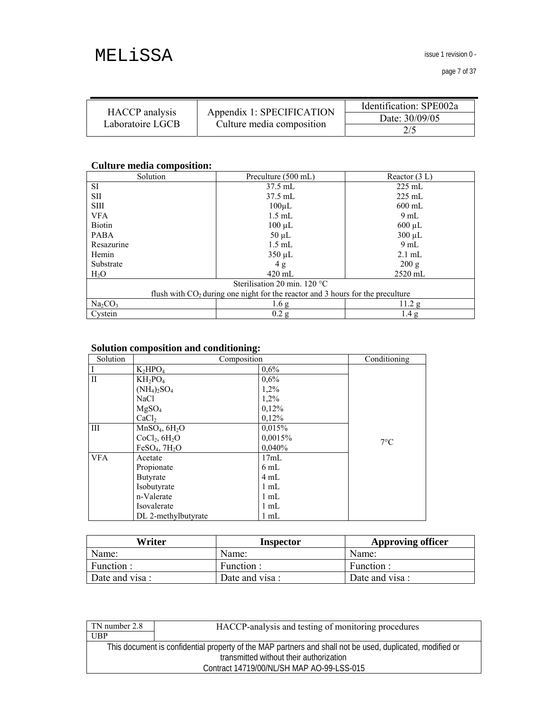issue 1 revision 0 -

|                                    | Appendix 1: SPECIFICATION<br>Culture media composition | Identification: SPE002a |
|------------------------------------|--------------------------------------------------------|-------------------------|
| HACCP analysis<br>Laboratoire LGCB |                                                        | Date: 30/09/05          |
|                                    |                                                        | 2/5                     |

# **Culture media composition:**

| Solution                                                                         | Preculture (500 mL) | Reactor $(3 L)$  |  |
|----------------------------------------------------------------------------------|---------------------|------------------|--|
| SI                                                                               | $37.5$ mL           | $225$ mL         |  |
| SII                                                                              | $37.5$ mL           | $225$ mL         |  |
| <b>SIII</b>                                                                      | $100 \mu L$         | $600$ mL         |  |
| <b>VFA</b>                                                                       | $1.5$ mL            | $9 \text{ mL}$   |  |
| <b>Biotin</b>                                                                    | $100 \mu L$         | $600 \mu L$      |  |
| <b>PABA</b>                                                                      | $50 \mu L$          | $300 \mu L$      |  |
| Resazurine                                                                       | $1.5$ mL            | $9 \text{ mL}$   |  |
| Hemin                                                                            | $350 \mu L$         | $2.1 \text{ mL}$ |  |
| Substrate                                                                        | 4 g                 | 200 g            |  |
| H <sub>2</sub> O                                                                 | $420 \text{ mL}$    | $2520$ mL        |  |
| Sterilisation 20 min. $120^{\circ}$ C                                            |                     |                  |  |
| flush with $CO2$ during one night for the reactor and 3 hours for the preculture |                     |                  |  |
| $Na_2CO_3$                                                                       | 1.6 <sub>g</sub>    | 11.2 g           |  |
| Cystein                                                                          | 0.2 g               | 1.4 <sub>g</sub> |  |

#### **Solution composition and conditioning:**

| Solution     | $\mathbf{\tilde{P}}$<br>Composition   |                | Conditioning |
|--------------|---------------------------------------|----------------|--------------|
|              | $K_2HPO_4$                            | 0,6%           |              |
| $\mathbf{I}$ | $KH_2PO_4$                            | 0,6%           |              |
|              | $(NH_4)_2SO_4$                        | 1,2%           |              |
|              | NaCl                                  | 1,2%           |              |
|              | MgSO <sub>4</sub>                     | 0,12%          |              |
|              | CaCl <sub>2</sub>                     | 0.12%          |              |
| Ш            | MnSO <sub>4</sub> , 6H <sub>2</sub> O | 0.015%         |              |
|              | CoCl <sub>2</sub> , 6H <sub>2</sub> O | 0,0015%        | $7^{\circ}C$ |
|              | FeSO <sub>4</sub> , 7H <sub>2</sub> O | 0,040%         |              |
| <b>VFA</b>   | Acetate                               | 17mL           |              |
|              | Propionate                            | $6 \text{ mL}$ |              |
|              | Butyrate                              | 4 mL           |              |
|              | Isobutyrate                           | $1 \text{ mL}$ |              |
|              | n-Valerate                            | $1 \text{ mL}$ |              |
|              | Isovalerate                           | $1 \text{ mL}$ |              |
|              | DL 2-methylbutyrate                   | $1$ mL         |              |

| Writer         | Inspector      | <b>Approving officer</b> |
|----------------|----------------|--------------------------|
| Name:          | Name:          | Name:                    |
| Function :     | Function :     | Function:                |
| Date and visa: | Date and visa: | Date and visa :          |

| TN number 2.8 | HACCP-analysis and testing of monitoring procedures                                                       |
|---------------|-----------------------------------------------------------------------------------------------------------|
| UBP           |                                                                                                           |
|               | This document is confidential property of the MAP partners and shall not be used, duplicated, modified or |
|               | transmitted without their authorization                                                                   |
|               | Contract 14719/00/NL/SH MAP AO-99-LSS-015                                                                 |
|               |                                                                                                           |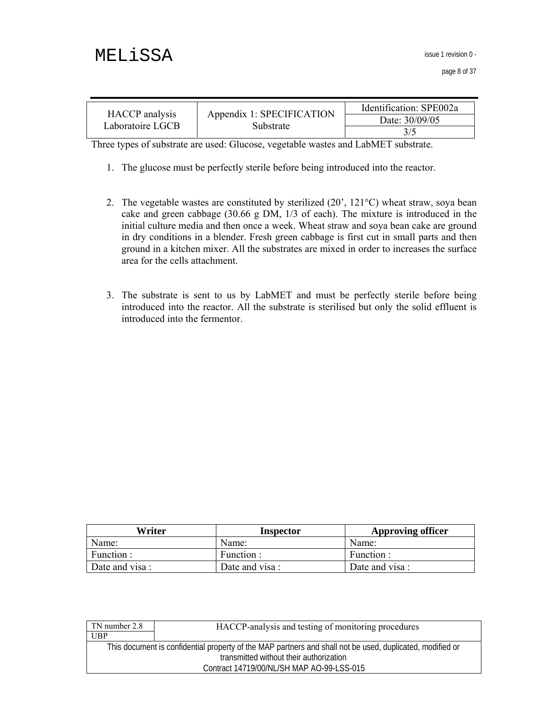issue 1 revision 0 -

| <b>HACCP</b> analysis<br>Laboratoire LGCB | Appendix 1: SPECIFICATION<br>Substrate | Identification: SPE002a |
|-------------------------------------------|----------------------------------------|-------------------------|
|                                           |                                        | Date: 30/09/05          |
|                                           |                                        |                         |

Three types of substrate are used: Glucose, vegetable wastes and LabMET substrate.

- 1. The glucose must be perfectly sterile before being introduced into the reactor.
- 2. The vegetable wastes are constituted by sterilized (20', 121°C) wheat straw, soya bean cake and green cabbage (30.66 g DM, 1/3 of each). The mixture is introduced in the initial culture media and then once a week. Wheat straw and soya bean cake are ground in dry conditions in a blender. Fresh green cabbage is first cut in small parts and then ground in a kitchen mixer. All the substrates are mixed in order to increases the surface area for the cells attachment.
- 3. The substrate is sent to us by LabMET and must be perfectly sterile before being introduced into the reactor. All the substrate is sterilised but only the solid effluent is introduced into the fermentor.

| Writer         | Inspector      | <b>Approving officer</b> |
|----------------|----------------|--------------------------|
| Name:          | Name:          | Name:                    |
| Function :     | Function:      | Function :               |
| Date and visa: | Date and visa: | Date and visa:           |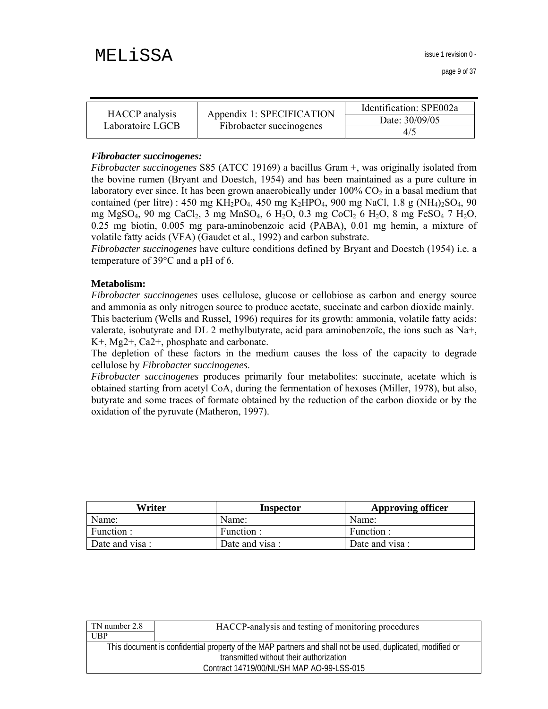| HACCP analysis   | Appendix 1: SPECIFICATION | Identification: SPE002a |
|------------------|---------------------------|-------------------------|
| Laboratoire LGCB | Fibrobacter succinogenes  | Date: 30/09/05          |
|                  |                           | 4/5                     |

#### *Fibrobacter succinogenes:*

*Fibrobacter succinogenes* S85 (ATCC 19169) a bacillus Gram +, was originally isolated from the bovine rumen (Bryant and Doestch, 1954) and has been maintained as a pure culture in laboratory ever since. It has been grown anaerobically under  $100\%$  CO<sub>2</sub> in a basal medium that contained (per litre) : 450 mg KH<sub>2</sub>PO<sub>4</sub>, 450 mg K<sub>2</sub>HPO<sub>4</sub>, 900 mg NaCl, 1.8 g (NH<sub>4</sub>)<sub>2</sub>SO<sub>4</sub>, 90 mg MgSO4, 90 mg CaCl2, 3 mg MnSO4, 6 H2O, 0.3 mg CoCl2 6 H2O, 8 mg FeSO4 7 H2O, 0.25 mg biotin, 0.005 mg para-aminobenzoic acid (PABA), 0.01 mg hemin, a mixture of volatile fatty acids (VFA) (Gaudet et al., 1992) and carbon substrate.

*Fibrobacter succinogenes* have culture conditions defined by Bryant and Doestch (1954) i.e. a temperature of 39°C and a pH of 6.

#### **Metabolism:**

*Fibrobacter succinogenes* uses cellulose, glucose or cellobiose as carbon and energy source and ammonia as only nitrogen source to produce acetate, succinate and carbon dioxide mainly. This bacterium (Wells and Russel, 1996) requires for its growth: ammonia, volatile fatty acids: valerate, isobutyrate and DL 2 methylbutyrate, acid para aminobenzoïc, the ions such as Na+, K+, Mg2+, Ca2+, phosphate and carbonate.

The depletion of these factors in the medium causes the loss of the capacity to degrade cellulose by *Fibrobacter succinogenes*.

*Fibrobacter succinogenes* produces primarily four metabolites: succinate, acetate which is obtained starting from acetyl CoA, during the fermentation of hexoses (Miller, 1978), but also, butyrate and some traces of formate obtained by the reduction of the carbon dioxide or by the oxidation of the pyruvate (Matheron, 1997).

| Writer         | Inspector       | <b>Approving officer</b> |  |
|----------------|-----------------|--------------------------|--|
| Name:          | Name:           | Name:                    |  |
| Function :     | Function :      | Function :               |  |
| Date and visa: | Date and visa : | Date and visa:           |  |

| <b>UBP</b>                                                                                                |  |
|-----------------------------------------------------------------------------------------------------------|--|
|                                                                                                           |  |
| This document is confidential property of the MAP partners and shall not be used, duplicated, modified or |  |
| transmitted without their authorization                                                                   |  |
| Contract 14719/00/NL/SH MAP AO-99-LSS-015                                                                 |  |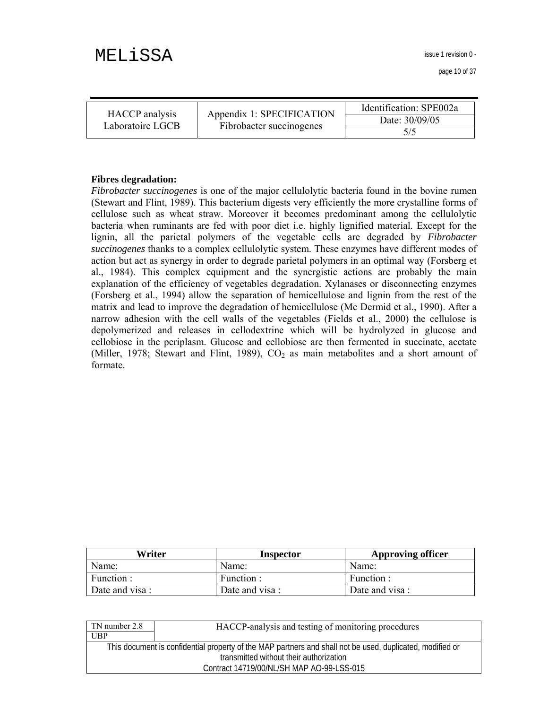issue 1 revision 0 -

page 10 of 37

|                                    |                                                       | Identification: SPE002a |  |
|------------------------------------|-------------------------------------------------------|-------------------------|--|
| HACCP analysis<br>Laboratoire LGCB | Appendix 1: SPECIFICATION<br>Fibrobacter succinogenes | Date: 30/09/05          |  |
|                                    |                                                       | 5/5                     |  |

#### **Fibres degradation:**

*Fibrobacter succinogenes* is one of the major cellulolytic bacteria found in the bovine rumen (Stewart and Flint, 1989). This bacterium digests very efficiently the more crystalline forms of cellulose such as wheat straw. Moreover it becomes predominant among the cellulolytic bacteria when ruminants are fed with poor diet i.e. highly lignified material. Except for the lignin, all the parietal polymers of the vegetable cells are degraded by *Fibrobacter succinogenes* thanks to a complex cellulolytic system. These enzymes have different modes of action but act as synergy in order to degrade parietal polymers in an optimal way (Forsberg et al., 1984). This complex equipment and the synergistic actions are probably the main explanation of the efficiency of vegetables degradation. Xylanases or disconnecting enzymes (Forsberg et al., 1994) allow the separation of hemicellulose and lignin from the rest of the matrix and lead to improve the degradation of hemicellulose (Mc Dermid et al., 1990). After a narrow adhesion with the cell walls of the vegetables (Fields et al., 2000) the cellulose is depolymerized and releases in cellodextrine which will be hydrolyzed in glucose and cellobiose in the periplasm. Glucose and cellobiose are then fermented in succinate, acetate (Miller, 1978; Stewart and Flint, 1989),  $CO<sub>2</sub>$  as main metabolites and a short amount of formate.

| Writer         | Inspector       | <b>Approving officer</b> |  |
|----------------|-----------------|--------------------------|--|
| Name:          | Name:           | Name:                    |  |
| Function :     | Function:       | Function :               |  |
| Date and visa: | Date and visa : | Date and visa:           |  |

| TN number 2.8 | HACCP-analysis and testing of monitoring procedures                                                       |
|---------------|-----------------------------------------------------------------------------------------------------------|
| UBP           |                                                                                                           |
|               | This document is confidential property of the MAP partners and shall not be used, duplicated, modified or |
|               | transmitted without their authorization                                                                   |
|               | Contract 14719/00/NL/SH MAP AO-99-LSS-015                                                                 |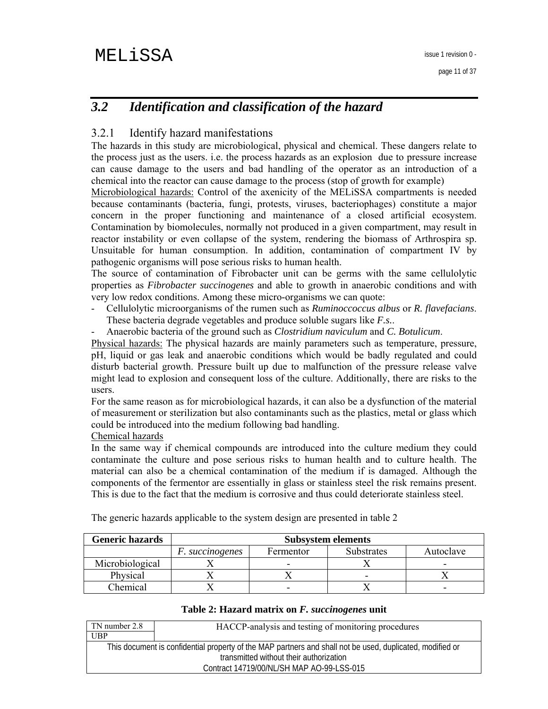# *3.2 Identification and classification of the hazard*

# 3.2.1 Identify hazard manifestations

The hazards in this study are microbiological, physical and chemical. These dangers relate to the process just as the users. i.e. the process hazards as an explosion due to pressure increase can cause damage to the users and bad handling of the operator as an introduction of a chemical into the reactor can cause damage to the process (stop of growth for example)

Microbiological hazards: Control of the axenicity of the MELiSSA compartments is needed because contaminants (bacteria, fungi, protests, viruses, bacteriophages) constitute a major concern in the proper functioning and maintenance of a closed artificial ecosystem. Contamination by biomolecules, normally not produced in a given compartment, may result in reactor instability or even collapse of the system, rendering the biomass of Arthrospira sp. Unsuitable for human consumption. In addition, contamination of compartment IV by pathogenic organisms will pose serious risks to human health.

The source of contamination of Fibrobacter unit can be germs with the same cellulolytic properties as *Fibrobacter succinogenes* and able to growth in anaerobic conditions and with very low redox conditions. Among these micro-organisms we can quote:

- Cellulolytic microorganisms of the rumen such as *Ruminoccoccus albus* or *R. flavefacians*. These bacteria degrade vegetables and produce soluble sugars like *F.s.*.
- Anaerobic bacteria of the ground such as *Clostridium naviculum* and *C. Botulicum*.

Physical hazards: The physical hazards are mainly parameters such as temperature, pressure, pH, liquid or gas leak and anaerobic conditions which would be badly regulated and could disturb bacterial growth. Pressure built up due to malfunction of the pressure release valve might lead to explosion and consequent loss of the culture. Additionally, there are risks to the users.

For the same reason as for microbiological hazards, it can also be a dysfunction of the material of measurement or sterilization but also contaminants such as the plastics, metal or glass which could be introduced into the medium following bad handling.

Chemical hazards

In the same way if chemical compounds are introduced into the culture medium they could contaminate the culture and pose serious risks to human health and to culture health. The material can also be a chemical contamination of the medium if is damaged. Although the components of the fermentor are essentially in glass or stainless steel the risk remains present. This is due to the fact that the medium is corrosive and thus could deteriorate stainless steel.

| <b>Generic hazards</b> | <b>Subsystem elements</b> |           |                   |           |
|------------------------|---------------------------|-----------|-------------------|-----------|
|                        | <i>F. succinogenes</i>    | Fermentor | <b>Substrates</b> | Autoclave |
| Microbiological        |                           |           |                   |           |
| Physical               |                           |           |                   |           |
| Chemical               |                           |           |                   |           |

The generic hazards applicable to the system design are presented in table 2

#### **Table 2: Hazard matrix on** *F. succinogenes* **unit**

| TN number 2.8 | HACCP-analysis and testing of monitoring procedures                                                       |
|---------------|-----------------------------------------------------------------------------------------------------------|
| UBP           |                                                                                                           |
|               | This document is confidential property of the MAP partners and shall not be used, duplicated, modified or |
|               | transmitted without their authorization                                                                   |
|               | Contract 14719/00/NL/SH MAP AO-99-LSS-015                                                                 |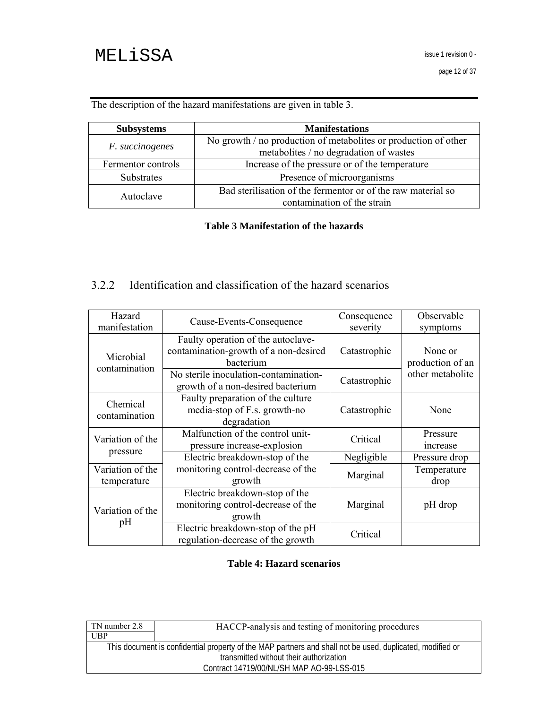The description of the hazard manifestations are given in table 3.

| <b>Subsystems</b>  | <b>Manifestations</b>                                                                                     |  |
|--------------------|-----------------------------------------------------------------------------------------------------------|--|
| F. succinogenes    | No growth / no production of metabolites or production of other<br>metabolites / no degradation of wastes |  |
| Fermentor controls | Increase of the pressure or of the temperature                                                            |  |
| Substrates         | Presence of microorganisms                                                                                |  |
| Autoclave          | Bad sterilisation of the fermentor or of the raw material so<br>contamination of the strain               |  |

### **Table 3 Manifestation of the hazards**

# 3.2.2 Identification and classification of the hazard scenarios

| Hazard<br>manifestation         | Cause-Events-Consequence                                                                 | Consequence<br>severity | Observable<br>symptoms      |
|---------------------------------|------------------------------------------------------------------------------------------|-------------------------|-----------------------------|
| Microbial<br>contamination      | Faulty operation of the autoclave-<br>contamination-growth of a non-desired<br>bacterium | Catastrophic            | None or<br>production of an |
|                                 | No sterile inoculation-contamination-<br>growth of a non-desired bacterium               | Catastrophic            | other metabolite            |
| Chemical<br>contamination       | Faulty preparation of the culture<br>media-stop of F.s. growth-no<br>degradation         | Catastrophic            | None                        |
| Variation of the                | Malfunction of the control unit-<br>pressure increase-explosion                          | Critical                | Pressure<br>increase        |
| pressure                        | Electric breakdown-stop of the                                                           | Negligible              | Pressure drop               |
| Variation of the<br>temperature | monitoring control-decrease of the<br>growth                                             | Marginal                | Temperature<br>drop         |
| Variation of the                | Electric breakdown-stop of the<br>monitoring control-decrease of the<br>growth           | Marginal                | pH drop                     |
| pH                              | Electric breakdown-stop of the pH<br>regulation-decrease of the growth                   | Critical                |                             |

### **Table 4: Hazard scenarios**

| TN number 2.8 | HACCP-analysis and testing of monitoring procedures                                                       |
|---------------|-----------------------------------------------------------------------------------------------------------|
| UBP           |                                                                                                           |
|               | This document is confidential property of the MAP partners and shall not be used, duplicated, modified or |
|               | transmitted without their authorization                                                                   |
|               | Contract 14719/00/NL/SH MAP AO-99-LSS-015                                                                 |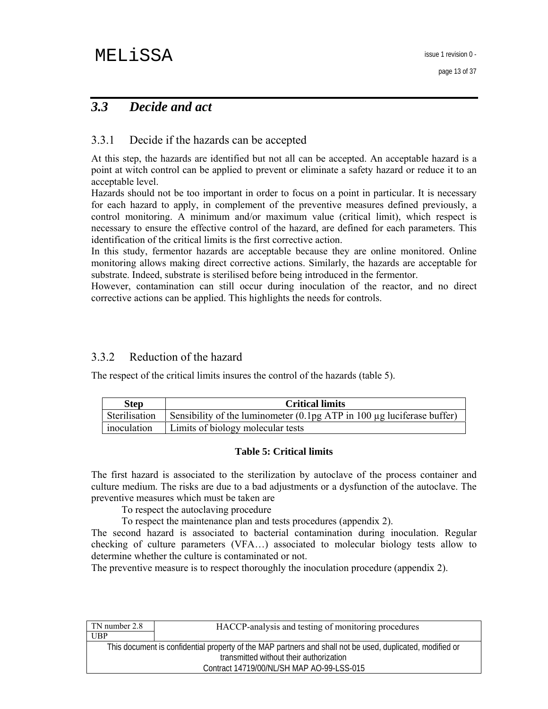# *3.3 Decide and act*

### 3.3.1 Decide if the hazards can be accepted

At this step, the hazards are identified but not all can be accepted. An acceptable hazard is a point at witch control can be applied to prevent or eliminate a safety hazard or reduce it to an acceptable level.

Hazards should not be too important in order to focus on a point in particular. It is necessary for each hazard to apply, in complement of the preventive measures defined previously, a control monitoring. A minimum and/or maximum value (critical limit), which respect is necessary to ensure the effective control of the hazard, are defined for each parameters. This identification of the critical limits is the first corrective action.

In this study, fermentor hazards are acceptable because they are online monitored. Online monitoring allows making direct corrective actions. Similarly, the hazards are acceptable for substrate. Indeed, substrate is sterilised before being introduced in the fermentor.

However, contamination can still occur during inoculation of the reactor, and no direct corrective actions can be applied. This highlights the needs for controls.

### 3.3.2 Reduction of the hazard

The respect of the critical limits insures the control of the hazards (table 5).

| <b>Step</b> | <b>Critical limits</b>                                                                        |
|-------------|-----------------------------------------------------------------------------------------------|
|             | Sterilisation Sensibility of the luminometer $(0.1\text{pg ATP}$ in 100 µg luciferase buffer) |
| inoculation | Limits of biology molecular tests                                                             |

#### **Table 5: Critical limits**

The first hazard is associated to the sterilization by autoclave of the process container and culture medium. The risks are due to a bad adjustments or a dysfunction of the autoclave. The preventive measures which must be taken are

To respect the autoclaving procedure

To respect the maintenance plan and tests procedures (appendix 2).

The second hazard is associated to bacterial contamination during inoculation. Regular checking of culture parameters (VFA…) associated to molecular biology tests allow to determine whether the culture is contaminated or not.

The preventive measure is to respect thoroughly the inoculation procedure (appendix 2).

| TN number 2.8 | HACCP-analysis and testing of monitoring procedures                                                       |
|---------------|-----------------------------------------------------------------------------------------------------------|
| <b>UBP</b>    |                                                                                                           |
|               | This document is confidential property of the MAP partners and shall not be used, duplicated, modified or |
|               | transmitted without their authorization                                                                   |
|               | Contract 14719/00/NL/SH MAP AO-99-LSS-015                                                                 |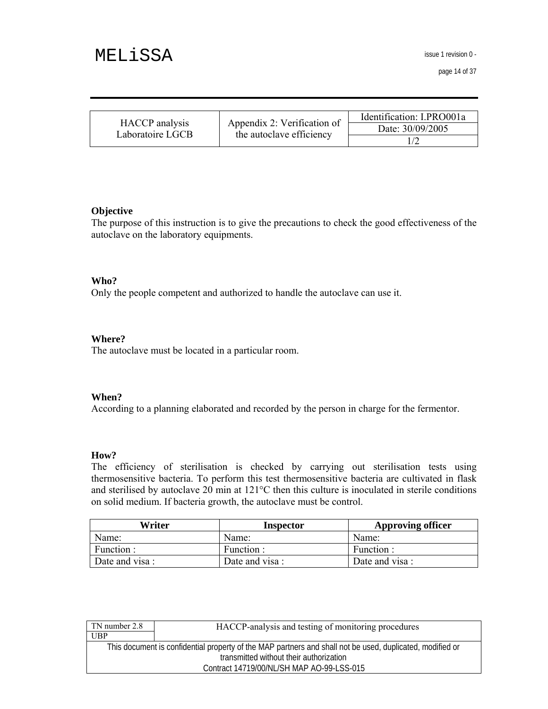issue 1 revision 0 -

page 14 of 37

|                  |                                                         | Identification: I.PRO001a |
|------------------|---------------------------------------------------------|---------------------------|
| HACCP analysis   | Appendix 2: Verification of<br>the autoclave efficiency | Date: 30/09/2005          |
| Laboratoire LGCB |                                                         |                           |

#### **Objective**

The purpose of this instruction is to give the precautions to check the good effectiveness of the autoclave on the laboratory equipments.

#### **Who?**

Only the people competent and authorized to handle the autoclave can use it.

#### **Where?**

The autoclave must be located in a particular room.

#### **When?**

According to a planning elaborated and recorded by the person in charge for the fermentor.

#### **How?**

The efficiency of sterilisation is checked by carrying out sterilisation tests using thermosensitive bacteria. To perform this test thermosensitive bacteria are cultivated in flask and sterilised by autoclave 20 min at 121°C then this culture is inoculated in sterile conditions on solid medium. If bacteria growth, the autoclave must be control.

| Writer         | Inspector      | <b>Approving officer</b> |
|----------------|----------------|--------------------------|
| Name:          | Name:          | Name:                    |
| Function :     | Function :     | Function:                |
| Date and visa: | Date and visa: | Date and visa :          |

| HACCP-analysis and testing of monitoring procedures                                                       |
|-----------------------------------------------------------------------------------------------------------|
|                                                                                                           |
| This document is confidential property of the MAP partners and shall not be used, duplicated, modified or |
| transmitted without their authorization                                                                   |
| Contract 14719/00/NL/SH MAP AO-99-LSS-015                                                                 |
|                                                                                                           |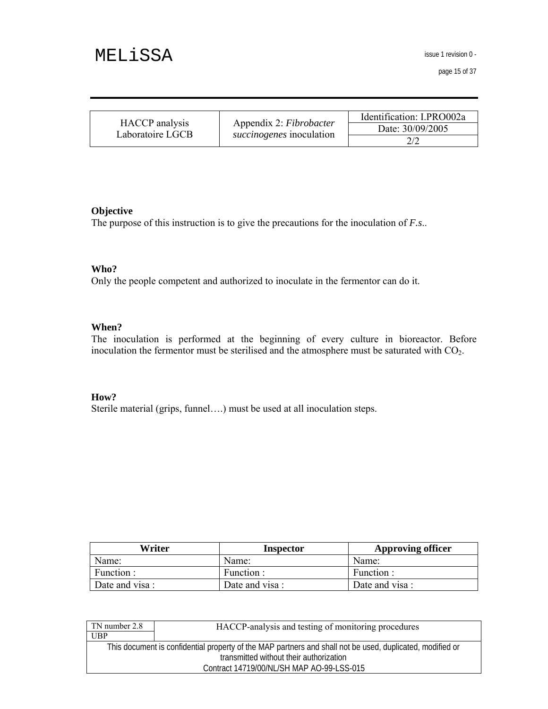issue 1 revision 0 -

page 15 of 37

|                                    |                                 | Identification: I.PRO002a |
|------------------------------------|---------------------------------|---------------------------|
| HACCP analysis<br>Laboratoire LGCB | Appendix 2: Fibrobacter         | Date: 30/09/2005          |
|                                    | <i>succinogenes</i> inoculation |                           |

#### **Objective**

The purpose of this instruction is to give the precautions for the inoculation of *F.s*..

#### **Who?**

Only the people competent and authorized to inoculate in the fermentor can do it.

#### **When?**

The inoculation is performed at the beginning of every culture in bioreactor. Before inoculation the fermentor must be sterilised and the atmosphere must be saturated with CO2.

#### **How?**

Sterile material (grips, funnel….) must be used at all inoculation steps.

| Writer         | Inspector       | <b>Approving officer</b> |
|----------------|-----------------|--------------------------|
| Name:          | Name:           | Name:                    |
| Function :     | Function:       | Function:                |
| Date and visa: | Date and visa : | Date and visa :          |

| TN number 2.8                                                                                             | HACCP-analysis and testing of monitoring procedures |  |
|-----------------------------------------------------------------------------------------------------------|-----------------------------------------------------|--|
| UBP                                                                                                       |                                                     |  |
| This document is confidential property of the MAP partners and shall not be used, duplicated, modified or |                                                     |  |
|                                                                                                           | transmitted without their authorization             |  |
|                                                                                                           | Contract 14719/00/NL/SH MAP AO-99-LSS-015           |  |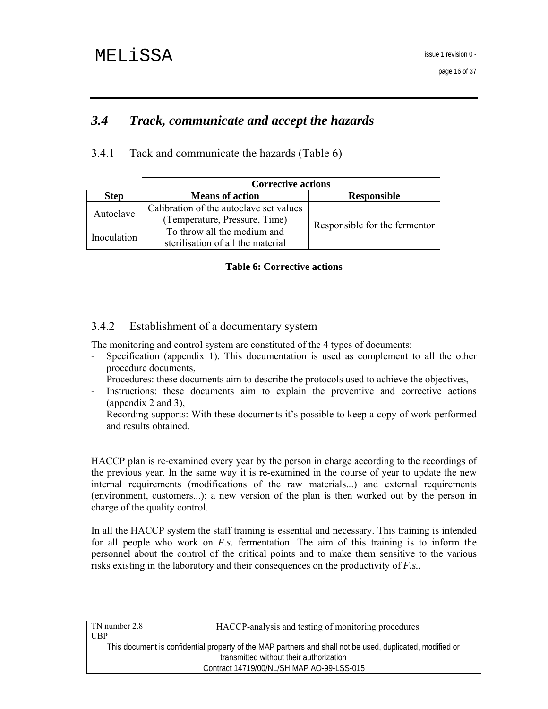# *3.4 Track, communicate and accept the hazards*

3.4.1 Tack and communicate the hazards (Table 6)

|             | <b>Corrective actions</b>               |                               |  |
|-------------|-----------------------------------------|-------------------------------|--|
| <b>Step</b> | <b>Means of action</b>                  | <b>Responsible</b>            |  |
|             | Calibration of the autoclave set values |                               |  |
| Autoclave   | (Temperature, Pressure, Time)           |                               |  |
|             | To throw all the medium and             | Responsible for the fermentor |  |
| Inoculation | sterilisation of all the material       |                               |  |

#### **Table 6: Corrective actions**

## 3.4.2 Establishment of a documentary system

The monitoring and control system are constituted of the 4 types of documents:

- Specification (appendix 1). This documentation is used as complement to all the other procedure documents,
- Procedures: these documents aim to describe the protocols used to achieve the objectives,
- Instructions: these documents aim to explain the preventive and corrective actions (appendix 2 and 3),
- Recording supports: With these documents it's possible to keep a copy of work performed and results obtained.

HACCP plan is re-examined every year by the person in charge according to the recordings of the previous year. In the same way it is re-examined in the course of year to update the new internal requirements (modifications of the raw materials...) and external requirements (environment, customers...); a new version of the plan is then worked out by the person in charge of the quality control.

In all the HACCP system the staff training is essential and necessary. This training is intended for all people who work on *F.s.* fermentation. The aim of this training is to inform the personnel about the control of the critical points and to make them sensitive to the various risks existing in the laboratory and their consequences on the productivity of *F.s..*

| TN number 2.8 | HACCP-analysis and testing of monitoring procedures                                                       |
|---------------|-----------------------------------------------------------------------------------------------------------|
| <b>UBP</b>    |                                                                                                           |
|               | This document is confidential property of the MAP partners and shall not be used, duplicated, modified or |
|               | transmitted without their authorization                                                                   |
|               | Contract 14719/00/NL/SH MAP AO-99-LSS-015                                                                 |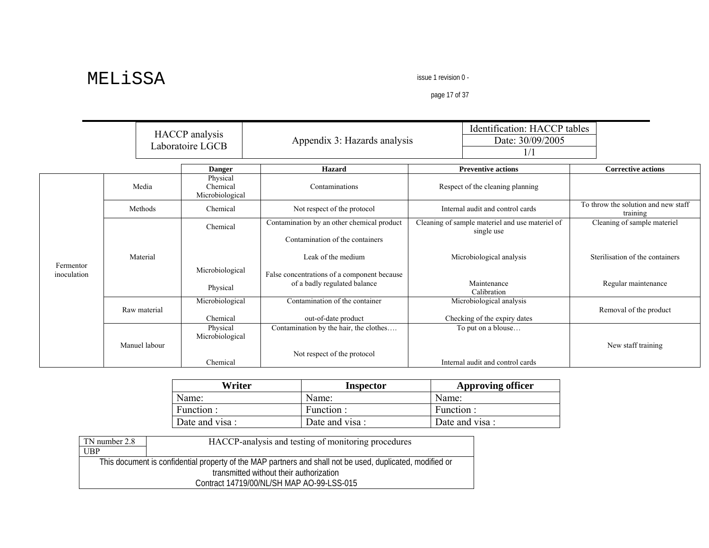issue 1 revision 0 -

page 17 of 37

|                          |               | HACCP analysis<br>Laboratoire LGCB      | Appendix 3: Hazards analysis                                                  | Identification: HACCP tables<br>Date: 30/09/2005<br>1/1       |                                                 |
|--------------------------|---------------|-----------------------------------------|-------------------------------------------------------------------------------|---------------------------------------------------------------|-------------------------------------------------|
|                          |               | <b>Danger</b>                           | <b>Hazard</b>                                                                 | <b>Preventive actions</b>                                     | <b>Corrective actions</b>                       |
|                          | Media         | Physical<br>Chemical<br>Microbiological | Contaminations                                                                | Respect of the cleaning planning                              |                                                 |
|                          | Methods       | Chemical                                | Not respect of the protocol                                                   | Internal audit and control cards                              | To throw the solution and new staff<br>training |
|                          |               | Chemical                                | Contamination by an other chemical product<br>Contamination of the containers | Cleaning of sample materiel and use materiel of<br>single use | Cleaning of sample materiel                     |
| Fermentor<br>inoculation | Material      | Microbiological                         | Leak of the medium                                                            | Microbiological analysis                                      | Sterilisation of the containers                 |
|                          |               | Physical                                | False concentrations of a component because<br>of a badly regulated balance   | Maintenance<br>Calibration                                    | Regular maintenance                             |
|                          | Raw material  | Microbiological<br>Chemical             | Contamination of the container<br>out-of-date product                         | Microbiological analysis<br>Checking of the expiry dates      | Removal of the product                          |
|                          | Manuel labour | Physical<br>Microbiological<br>Chemical | Contamination by the hair, the clothes<br>Not respect of the protocol         | To put on a blouse<br>Internal audit and control cards        | New staff training                              |

| Writer          | Inspector       | <b>Approving officer</b> |
|-----------------|-----------------|--------------------------|
| Name:           | Name:           | Name:                    |
| Function :      | Function :      | Function :               |
| Date and visa : | Date and visa : | Date and visa :          |

| TN number 2.8 | HACCP-analysis and testing of monitoring procedures                                                       |
|---------------|-----------------------------------------------------------------------------------------------------------|
| UBP           |                                                                                                           |
|               | This document is confidential property of the MAP partners and shall not be used, duplicated, modified or |
|               | transmitted without their authorization                                                                   |
|               | Contract 14719/00/NL/SH MAP AO-99-LSS-015                                                                 |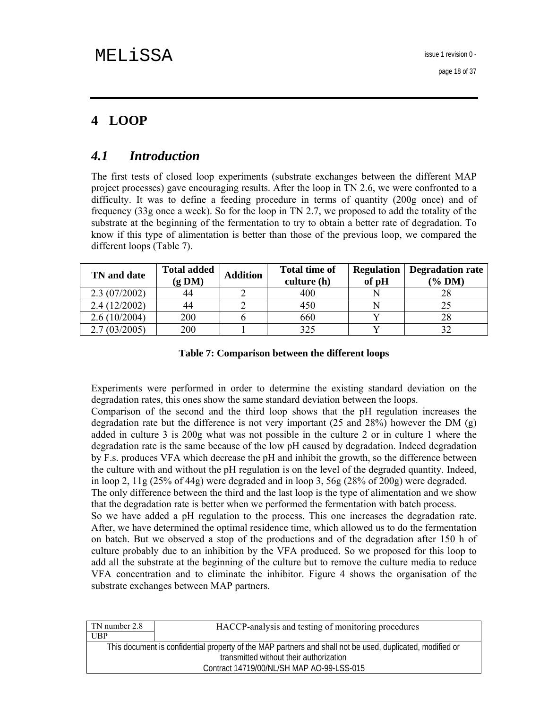# **4 LOOP**

# *4.1 Introduction*

The first tests of closed loop experiments (substrate exchanges between the different MAP project processes) gave encouraging results. After the loop in TN 2.6, we were confronted to a difficulty. It was to define a feeding procedure in terms of quantity (200g once) and of frequency (33g once a week). So for the loop in TN 2.7, we proposed to add the totality of the substrate at the beginning of the fermentation to try to obtain a better rate of degradation. To know if this type of alimentation is better than those of the previous loop, we compared the different loops (Table 7).

| TN and date  | <b>Total added</b><br>(g DM) | <b>Addition</b> | <b>Total time of</b><br>culture (h) | <b>Regulation</b><br>of pH | <b>Degradation rate</b><br>$(\%$ DM) |  |
|--------------|------------------------------|-----------------|-------------------------------------|----------------------------|--------------------------------------|--|
| 2.3(07/2002) | 44                           |                 | 400                                 |                            |                                      |  |
| 2.4(12/2002) | 44                           |                 | 450                                 |                            |                                      |  |
| 2.6(10/2004) | 200                          |                 | 660                                 |                            |                                      |  |
| 2.7(03/2005) | 200                          |                 | 325                                 |                            |                                      |  |

**Table 7: Comparison between the different loops** 

Experiments were performed in order to determine the existing standard deviation on the degradation rates, this ones show the same standard deviation between the loops.

Comparison of the second and the third loop shows that the pH regulation increases the degradation rate but the difference is not very important (25 and 28%) however the DM (g) added in culture 3 is 200g what was not possible in the culture 2 or in culture 1 where the degradation rate is the same because of the low pH caused by degradation. Indeed degradation by F.s. produces VFA which decrease the pH and inhibit the growth, so the difference between the culture with and without the pH regulation is on the level of the degraded quantity. Indeed, in loop 2, 11g (25% of 44g) were degraded and in loop 3, 56g (28% of 200g) were degraded. The only difference between the third and the last loop is the type of alimentation and we show that the degradation rate is better when we performed the fermentation with batch process. So we have added a pH regulation to the process. This one increases the degradation rate. After, we have determined the optimal residence time, which allowed us to do the fermentation on batch. But we observed a stop of the productions and of the degradation after 150 h of culture probably due to an inhibition by the VFA produced. So we proposed for this loop to add all the substrate at the beginning of the culture but to remove the culture media to reduce VFA concentration and to eliminate the inhibitor. Figure 4 shows the organisation of the substrate exchanges between MAP partners.

| TN number 2.8                                                                                             | HACCP-analysis and testing of monitoring procedures |  |  |  |
|-----------------------------------------------------------------------------------------------------------|-----------------------------------------------------|--|--|--|
| UBP                                                                                                       |                                                     |  |  |  |
| This document is confidential property of the MAP partners and shall not be used, duplicated, modified or |                                                     |  |  |  |
| transmitted without their authorization                                                                   |                                                     |  |  |  |
| Contract 14719/00/NL/SH MAP AO-99-LSS-015                                                                 |                                                     |  |  |  |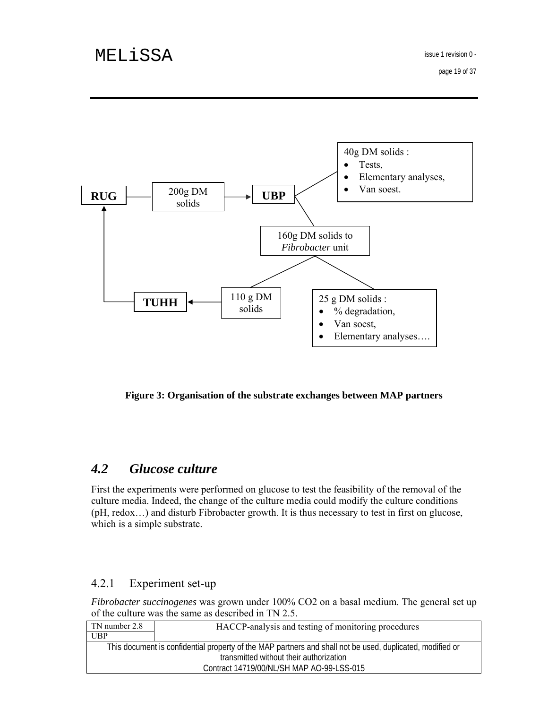page 19 of 37



**Figure 3: Organisation of the substrate exchanges between MAP partners** 

# *4.2 Glucose culture*

First the experiments were performed on glucose to test the feasibility of the removal of the culture media. Indeed, the change of the culture media could modify the culture conditions (pH, redox…) and disturb Fibrobacter growth. It is thus necessary to test in first on glucose, which is a simple substrate.

## 4.2.1 Experiment set-up

*Fibrobacter succinogenes* was grown under 100% CO2 on a basal medium. The general set up of the culture was the same as described in TN 2.5.

| TN number 2.8                                                                                             | HACCP-analysis and testing of monitoring procedures |  |  |  |  |
|-----------------------------------------------------------------------------------------------------------|-----------------------------------------------------|--|--|--|--|
| UBP                                                                                                       |                                                     |  |  |  |  |
| This document is confidential property of the MAP partners and shall not be used, duplicated, modified or |                                                     |  |  |  |  |
| transmitted without their authorization                                                                   |                                                     |  |  |  |  |
| Contract 14719/00/NL/SH MAP AO-99-LSS-015                                                                 |                                                     |  |  |  |  |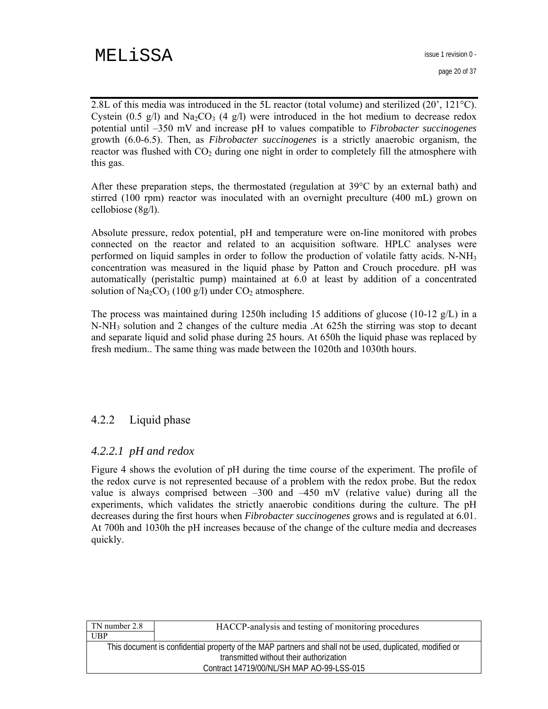2.8L of this media was introduced in the 5L reactor (total volume) and sterilized (20', 121°C). Cystein (0.5 g/l) and  $Na<sub>2</sub>CO<sub>3</sub>$  (4 g/l) were introduced in the hot medium to decrease redox potential until –350 mV and increase pH to values compatible to *Fibrobacter succinogenes* growth (6.0-6.5). Then, as *Fibrobacter succinogenes* is a strictly anaerobic organism, the reactor was flushed with  $CO<sub>2</sub>$  during one night in order to completely fill the atmosphere with this gas.

After these preparation steps, the thermostated (regulation at 39°C by an external bath) and stirred (100 rpm) reactor was inoculated with an overnight preculture (400 mL) grown on cellobiose (8g/l).

Absolute pressure, redox potential, pH and temperature were on-line monitored with probes connected on the reactor and related to an acquisition software. HPLC analyses were performed on liquid samples in order to follow the production of volatile fatty acids. N-NH3 concentration was measured in the liquid phase by Patton and Crouch procedure. pH was automatically (peristaltic pump) maintained at 6.0 at least by addition of a concentrated solution of  $Na<sub>2</sub>CO<sub>3</sub>$  (100 g/l) under  $CO<sub>2</sub>$  atmosphere.

The process was maintained during 1250h including 15 additions of glucose (10-12  $g/L$ ) in a N-NH3 solution and 2 changes of the culture media .At 625h the stirring was stop to decant and separate liquid and solid phase during 25 hours. At 650h the liquid phase was replaced by fresh medium.. The same thing was made between the 1020th and 1030th hours.

## 4.2.2 Liquid phase

### *4.2.2.1 pH and redox*

Figure 4 shows the evolution of pH during the time course of the experiment. The profile of the redox curve is not represented because of a problem with the redox probe. But the redox value is always comprised between –300 and –450 mV (relative value) during all the experiments, which validates the strictly anaerobic conditions during the culture. The pH decreases during the first hours when *Fibrobacter succinogenes* grows and is regulated at 6.01. At 700h and 1030h the pH increases because of the change of the culture media and decreases quickly.

| TN number 2.8                                                                                             | HACCP-analysis and testing of monitoring procedures |  |  |  |
|-----------------------------------------------------------------------------------------------------------|-----------------------------------------------------|--|--|--|
| UBP                                                                                                       |                                                     |  |  |  |
| This document is confidential property of the MAP partners and shall not be used, duplicated, modified or |                                                     |  |  |  |
| transmitted without their authorization                                                                   |                                                     |  |  |  |
| Contract 14719/00/NL/SH MAP AO-99-LSS-015                                                                 |                                                     |  |  |  |
|                                                                                                           |                                                     |  |  |  |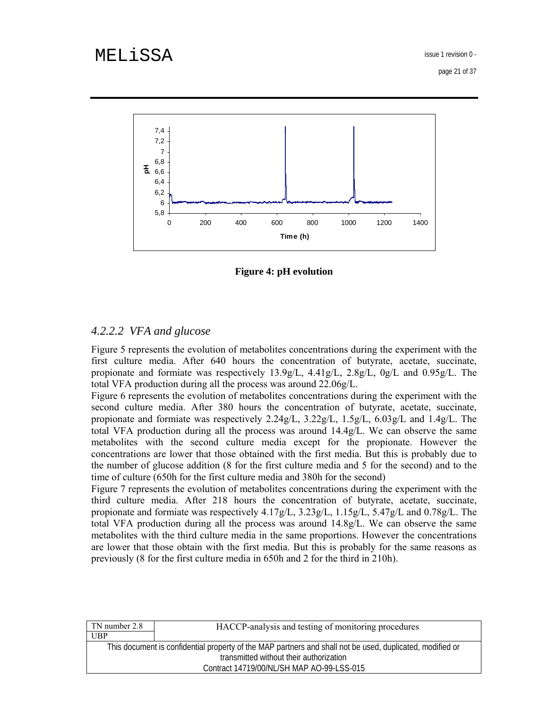page 21 of 37



**Figure 4: pH evolution** 

# *4.2.2.2 VFA and glucose*

Figure 5 represents the evolution of metabolites concentrations during the experiment with the first culture media. After 640 hours the concentration of butyrate, acetate, succinate, propionate and formiate was respectively 13.9g/L, 4.41g/L, 2.8g/L, 0g/L and 0.95g/L. The total VFA production during all the process was around 22.06g/L.

Figure 6 represents the evolution of metabolites concentrations during the experiment with the second culture media. After 380 hours the concentration of butyrate, acetate, succinate, propionate and formiate was respectively 2.24g/L, 3.22g/L, 1.5g/L, 6.03g/L and 1.4g/L. The total VFA production during all the process was around 14.4g/L. We can observe the same metabolites with the second culture media except for the propionate. However the concentrations are lower that those obtained with the first media. But this is probably due to the number of glucose addition (8 for the first culture media and 5 for the second) and to the time of culture (650h for the first culture media and 380h for the second)

Figure 7 represents the evolution of metabolites concentrations during the experiment with the third culture media. After 218 hours the concentration of butyrate, acetate, succinate, propionate and formiate was respectively 4.17g/L, 3.23g/L, 1.15g/L, 5.47g/L and 0.78g/L. The total VFA production during all the process was around 14.8g/L. We can observe the same metabolites with the third culture media in the same proportions. However the concentrations are lower that those obtain with the first media. But this is probably for the same reasons as previously (8 for the first culture media in 650h and 2 for the third in 210h).

| TN number 2.8                                                                                             | HACCP-analysis and testing of monitoring procedures |  |  |  |  |
|-----------------------------------------------------------------------------------------------------------|-----------------------------------------------------|--|--|--|--|
| UBP                                                                                                       |                                                     |  |  |  |  |
| This document is confidential property of the MAP partners and shall not be used, duplicated, modified or |                                                     |  |  |  |  |
| transmitted without their authorization                                                                   |                                                     |  |  |  |  |
| Contract 14719/00/NL/SH MAP AO-99-LSS-015                                                                 |                                                     |  |  |  |  |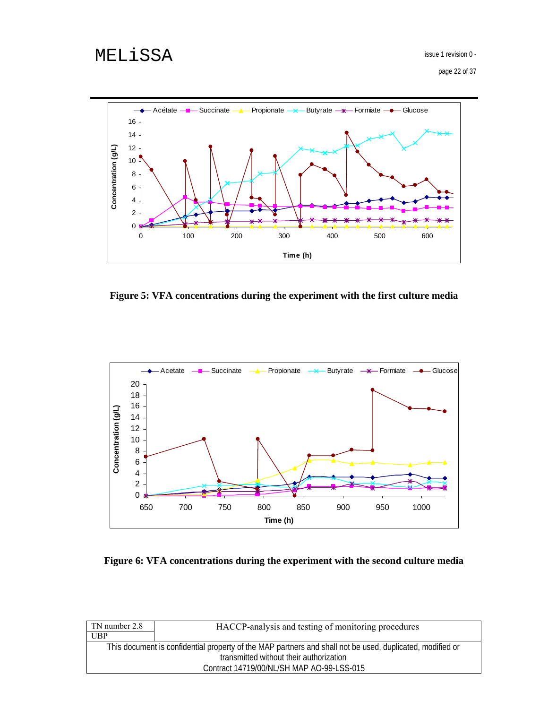page 22 of 37



**Figure 5: VFA concentrations during the experiment with the first culture media** 



**Figure 6: VFA concentrations during the experiment with the second culture media** 

| HACCP-analysis and testing of monitoring procedures                                                       |  |  |  |  |
|-----------------------------------------------------------------------------------------------------------|--|--|--|--|
|                                                                                                           |  |  |  |  |
| This document is confidential property of the MAP partners and shall not be used, duplicated, modified or |  |  |  |  |
| transmitted without their authorization                                                                   |  |  |  |  |
| Contract 14719/00/NL/SH MAP AO-99-LSS-015                                                                 |  |  |  |  |
|                                                                                                           |  |  |  |  |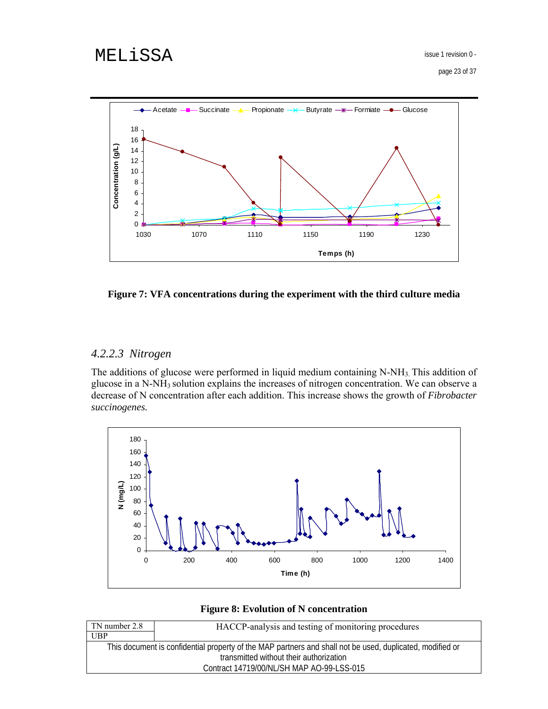

#### **Figure 7: VFA concentrations during the experiment with the third culture media**

# *4.2.2.3 Nitrogen*

The additions of glucose were performed in liquid medium containing  $N-NH<sub>3</sub>$ . This addition of glucose in a N-NH3 solution explains the increases of nitrogen concentration. We can observe a decrease of N concentration after each addition. This increase shows the growth of *Fibrobacter succinogenes.*



#### **Figure 8: Evolution of N concentration**

| TN number 2.8                                                                                             | HACCP-analysis and testing of monitoring procedures |  |  |  |
|-----------------------------------------------------------------------------------------------------------|-----------------------------------------------------|--|--|--|
| UBP                                                                                                       |                                                     |  |  |  |
| This document is confidential property of the MAP partners and shall not be used, duplicated, modified or |                                                     |  |  |  |
| transmitted without their authorization                                                                   |                                                     |  |  |  |
| Contract 14719/00/NL/SH MAP AO-99-LSS-015                                                                 |                                                     |  |  |  |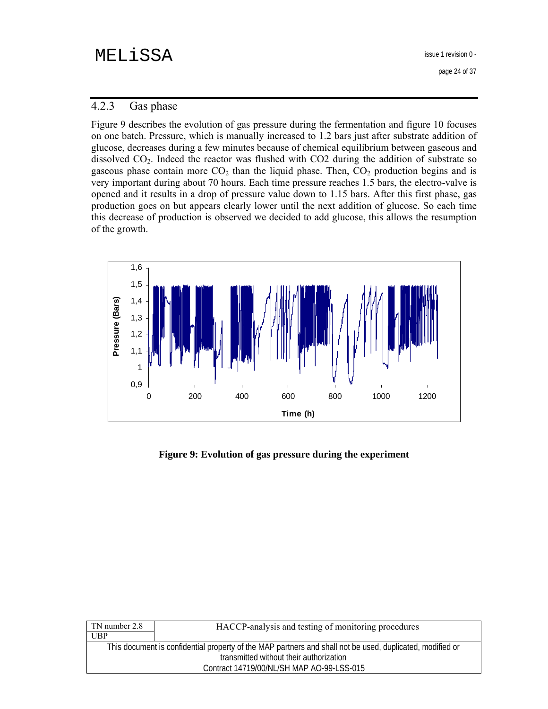issue 1 revision 0 -

page 24 of 37

## 4.2.3 Gas phase

Figure 9 describes the evolution of gas pressure during the fermentation and figure 10 focuses on one batch. Pressure, which is manually increased to 1.2 bars just after substrate addition of glucose, decreases during a few minutes because of chemical equilibrium between gaseous and dissolved  $CO<sub>2</sub>$ . Indeed the reactor was flushed with  $CO<sub>2</sub>$  during the addition of substrate so gaseous phase contain more  $CO<sub>2</sub>$  than the liquid phase. Then,  $CO<sub>2</sub>$  production begins and is very important during about 70 hours. Each time pressure reaches 1.5 bars, the electro-valve is opened and it results in a drop of pressure value down to 1.15 bars. After this first phase, gas production goes on but appears clearly lower until the next addition of glucose. So each time this decrease of production is observed we decided to add glucose, this allows the resumption of the growth.



**Figure 9: Evolution of gas pressure during the experiment** 

| HACCP-analysis and testing of monitoring procedures                                                       |  |  |  |  |
|-----------------------------------------------------------------------------------------------------------|--|--|--|--|
|                                                                                                           |  |  |  |  |
| This document is confidential property of the MAP partners and shall not be used, duplicated, modified or |  |  |  |  |
| transmitted without their authorization                                                                   |  |  |  |  |
| Contract 14719/00/NL/SH MAP AO-99-LSS-015                                                                 |  |  |  |  |
|                                                                                                           |  |  |  |  |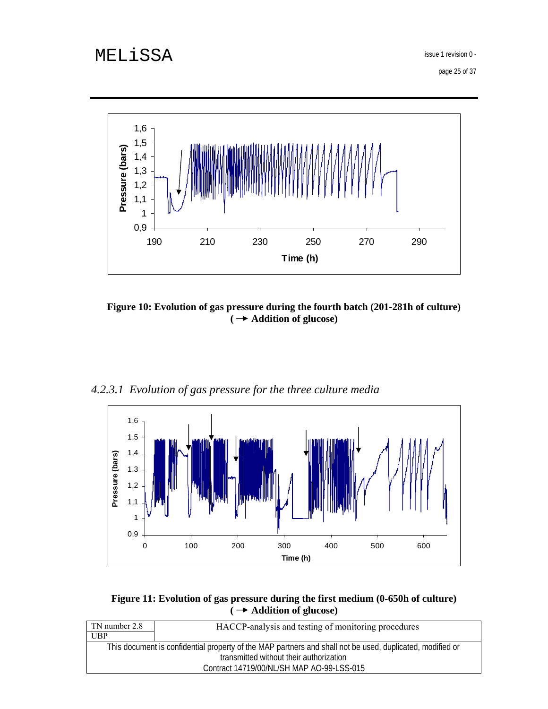page 25 of 37



**Figure 10: Evolution of gas pressure during the fourth batch (201-281h of culture) ( Addition of glucose)** 

*4.2.3.1 Evolution of gas pressure for the three culture media* 



**Figure 11: Evolution of gas pressure during the first medium (0-650h of culture) ( Addition of glucose)** 

| TN number 2.8                                                                                             | HACCP-analysis and testing of monitoring procedures |  |  |  |
|-----------------------------------------------------------------------------------------------------------|-----------------------------------------------------|--|--|--|
| UBP                                                                                                       |                                                     |  |  |  |
| This document is confidential property of the MAP partners and shall not be used, duplicated, modified or |                                                     |  |  |  |
| transmitted without their authorization                                                                   |                                                     |  |  |  |
|                                                                                                           | Contract 14719/00/NL/SH MAP AO-99-LSS-015           |  |  |  |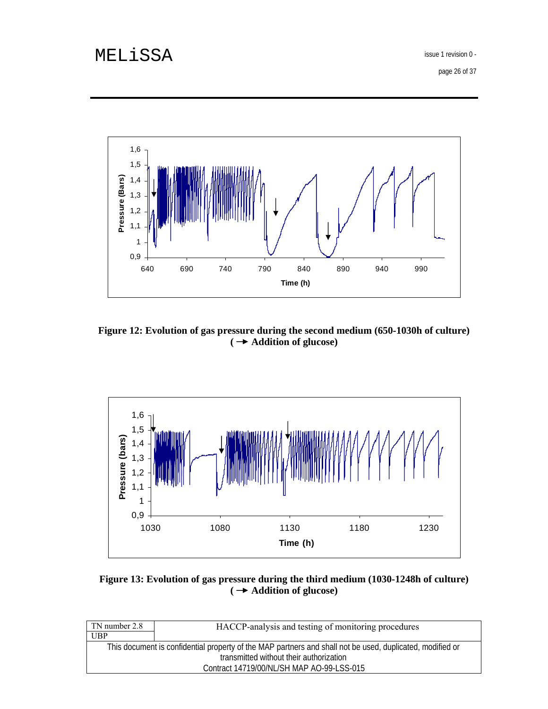page 26 of 37



**Figure 12: Evolution of gas pressure during the second medium (650-1030h of culture) ( Addition of glucose)** 



## **Figure 13: Evolution of gas pressure during the third medium (1030-1248h of culture) ( Addition of glucose)**

| TN number 2.8                                                                                             | HACCP-analysis and testing of monitoring procedures |  |  |  |
|-----------------------------------------------------------------------------------------------------------|-----------------------------------------------------|--|--|--|
| UBP                                                                                                       |                                                     |  |  |  |
| This document is confidential property of the MAP partners and shall not be used, duplicated, modified or |                                                     |  |  |  |
| transmitted without their authorization                                                                   |                                                     |  |  |  |
| Contract 14719/00/NL/SH MAP AO-99-LSS-015                                                                 |                                                     |  |  |  |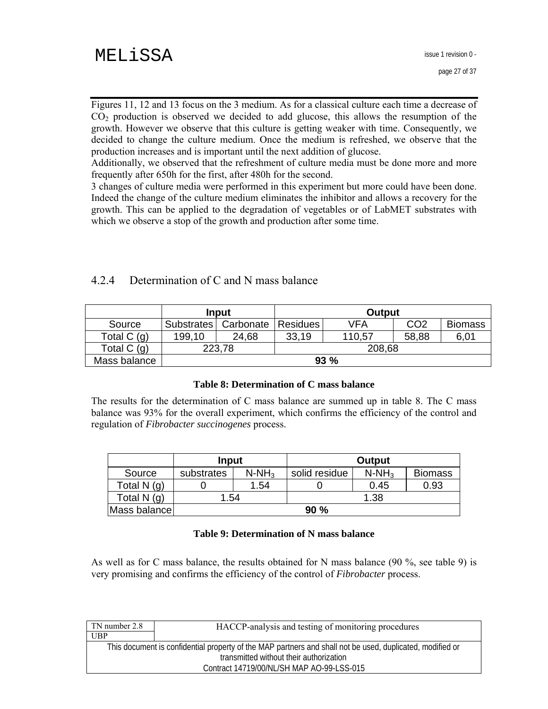Figures 11, 12 and 13 focus on the 3 medium. As for a classical culture each time a decrease of  $CO<sub>2</sub>$  production is observed we decided to add glucose, this allows the resumption of the growth. However we observe that this culture is getting weaker with time. Consequently, we decided to change the culture medium. Once the medium is refreshed, we observe that the production increases and is important until the next addition of glucose.

Additionally, we observed that the refreshment of culture media must be done more and more frequently after 650h for the first, after 480h for the second.

3 changes of culture media were performed in this experiment but more could have been done. Indeed the change of the culture medium eliminates the inhibitor and allows a recovery for the growth. This can be applied to the degradation of vegetables or of LabMET substrates with which we observe a stop of the growth and production after some time.

## 4.2.4 Determination of C and N mass balance

|              | Input      |           | Output          |        |                 |                |
|--------------|------------|-----------|-----------------|--------|-----------------|----------------|
| Source       | Substrates | Carbonate | <b>Residues</b> | VFA    | CO <sub>2</sub> | <b>Biomass</b> |
| Total C (g)  | 199,10     | 24,68     | 33,19           | 110,57 | 58,88           | 6,01           |
| Total $C(q)$ |            | 223,78    | 208,68          |        |                 |                |
| Mass balance | 93%        |           |                 |        |                 |                |

#### **Table 8: Determination of C mass balance**

The results for the determination of C mass balance are summed up in table 8. The C mass balance was 93% for the overall experiment, which confirms the efficiency of the control and regulation of *Fibrobacter succinogenes* process.

|              | Input      |          | Output        |          |                |
|--------------|------------|----------|---------------|----------|----------------|
| Source       | substrates | $N-NH_3$ | solid residue | $N-NH_3$ | <b>Biomass</b> |
| Total N (g)  |            | 1.54     |               | 0.45     | 0.93           |
| Total N (g)  | 54. ا      |          | 1.38          |          |                |
| Mass balance |            |          | 90%           |          |                |

#### **Table 9: Determination of N mass balance**

As well as for C mass balance, the results obtained for N mass balance (90 %, see table 9) is very promising and confirms the efficiency of the control of *Fibrobacter* process.

| TN number 2.8                                                                                             | HACCP-analysis and testing of monitoring procedures |  |  |
|-----------------------------------------------------------------------------------------------------------|-----------------------------------------------------|--|--|
| UBP                                                                                                       |                                                     |  |  |
| This document is confidential property of the MAP partners and shall not be used, duplicated, modified or |                                                     |  |  |
| transmitted without their authorization                                                                   |                                                     |  |  |
| Contract 14719/00/NL/SH MAP AO-99-LSS-015                                                                 |                                                     |  |  |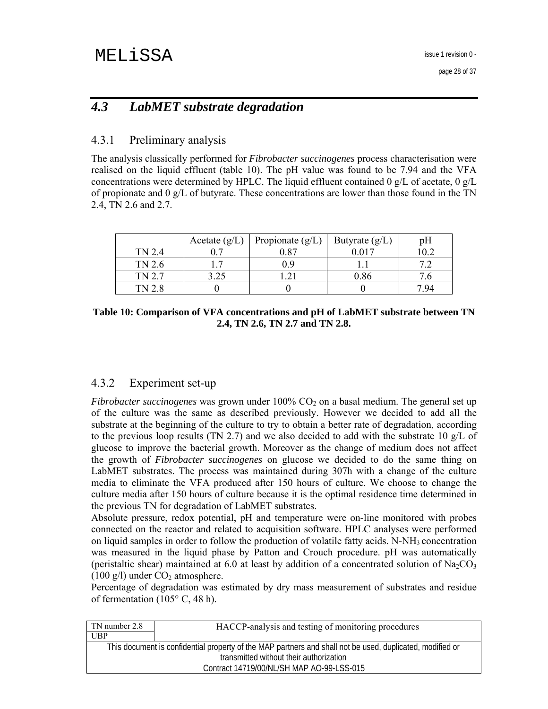# *4.3 LabMET substrate degradation*

## 4.3.1 Preliminary analysis

The analysis classically performed for *Fibrobacter succinogenes* process characterisation were realised on the liquid effluent (table 10). The pH value was found to be 7.94 and the VFA concentrations were determined by HPLC. The liquid effluent contained 0 g/L of acetate, 0 g/L of propionate and 0 g/L of butyrate. These concentrations are lower than those found in the TN 2.4, TN 2.6 and 2.7.

|        | Acetate $(g/L)$ | Propionate $(g/L)$ | Butyrate $(g/L)$ | рH   |
|--------|-----------------|--------------------|------------------|------|
| TN 2.4 |                 | 0.87               | 0.017            |      |
| TN 2.6 |                 |                    |                  |      |
| TN 2.7 |                 |                    | 0.86             |      |
| TN 28  |                 |                    |                  | 7 Q4 |

**Table 10: Comparison of VFA concentrations and pH of LabMET substrate between TN 2.4, TN 2.6, TN 2.7 and TN 2.8.** 

## 4.3.2 Experiment set-up

*Fibrobacter succinogenes* was grown under  $100\%$  CO<sub>2</sub> on a basal medium. The general set up of the culture was the same as described previously. However we decided to add all the substrate at the beginning of the culture to try to obtain a better rate of degradation, according to the previous loop results (TN 2.7) and we also decided to add with the substrate 10  $g/L$  of glucose to improve the bacterial growth. Moreover as the change of medium does not affect the growth of *Fibrobacter succinogenes* on glucose we decided to do the same thing on LabMET substrates. The process was maintained during 307h with a change of the culture media to eliminate the VFA produced after 150 hours of culture. We choose to change the culture media after 150 hours of culture because it is the optimal residence time determined in the previous TN for degradation of LabMET substrates.

Absolute pressure, redox potential, pH and temperature were on-line monitored with probes connected on the reactor and related to acquisition software. HPLC analyses were performed on liquid samples in order to follow the production of volatile fatty acids.  $N-NH_3$  concentration was measured in the liquid phase by Patton and Crouch procedure. pH was automatically (peristaltic shear) maintained at 6.0 at least by addition of a concentrated solution of  $Na<sub>2</sub>CO<sub>3</sub>$ (100 g/l) under  $CO<sub>2</sub>$  atmosphere.

Percentage of degradation was estimated by dry mass measurement of substrates and residue of fermentation (105° C, 48 h).

| TN number 2.8                                                                                             | HACCP-analysis and testing of monitoring procedures |  |  |
|-----------------------------------------------------------------------------------------------------------|-----------------------------------------------------|--|--|
| UBP                                                                                                       |                                                     |  |  |
| This document is confidential property of the MAP partners and shall not be used, duplicated, modified or |                                                     |  |  |
| transmitted without their authorization                                                                   |                                                     |  |  |
| Contract 14719/00/NL/SH MAP AO-99-LSS-015                                                                 |                                                     |  |  |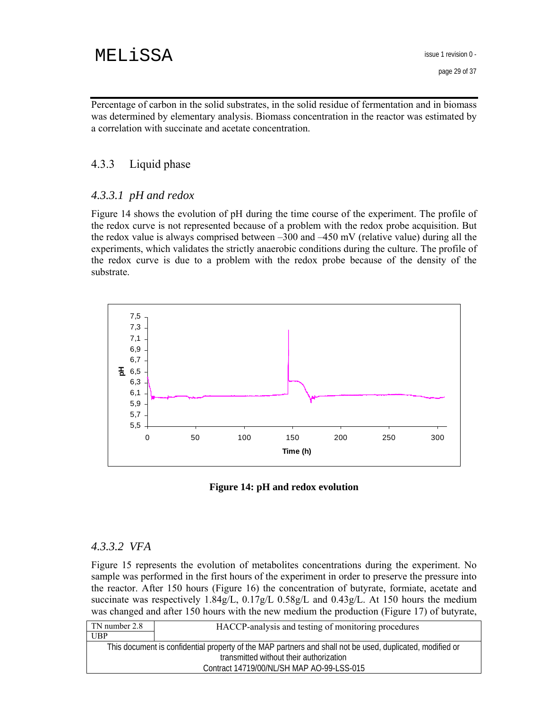Percentage of carbon in the solid substrates, in the solid residue of fermentation and in biomass was determined by elementary analysis. Biomass concentration in the reactor was estimated by a correlation with succinate and acetate concentration.

### 4.3.3 Liquid phase

### *4.3.3.1 pH and redox*

Figure 14 shows the evolution of pH during the time course of the experiment. The profile of the redox curve is not represented because of a problem with the redox probe acquisition. But the redox value is always comprised between –300 and –450 mV (relative value) during all the experiments, which validates the strictly anaerobic conditions during the culture. The profile of the redox curve is due to a problem with the redox probe because of the density of the substrate.



**Figure 14: pH and redox evolution** 

### *4.3.3.2 VFA*

Figure 15 represents the evolution of metabolites concentrations during the experiment. No sample was performed in the first hours of the experiment in order to preserve the pressure into the reactor. After 150 hours (Figure 16) the concentration of butyrate, formiate, acetate and succinate was respectively 1.84g/L, 0.17g/L 0.58g/L and 0.43g/L. At 150 hours the medium was changed and after 150 hours with the new medium the production (Figure 17) of butyrate,

| TN number 2.8                                                                                             | HACCP-analysis and testing of monitoring procedures |  |  |
|-----------------------------------------------------------------------------------------------------------|-----------------------------------------------------|--|--|
| UBP                                                                                                       |                                                     |  |  |
| This document is confidential property of the MAP partners and shall not be used, duplicated, modified or |                                                     |  |  |
| transmitted without their authorization                                                                   |                                                     |  |  |
| Contract 14719/00/NL/SH MAP AO-99-LSS-015                                                                 |                                                     |  |  |
|                                                                                                           |                                                     |  |  |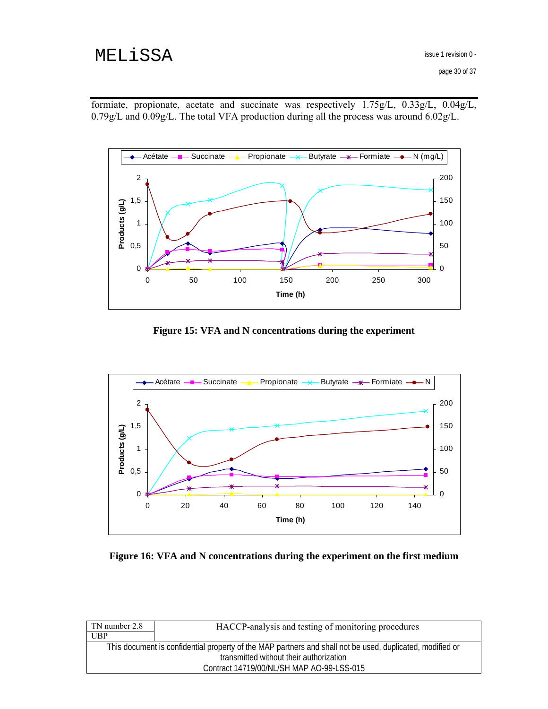formiate, propionate, acetate and succinate was respectively 1.75g/L, 0.33g/L, 0.04g/L, 0.79g/L and 0.09g/L. The total VFA production during all the process was around 6.02g/L.



**Figure 15: VFA and N concentrations during the experiment** 



**Figure 16: VFA and N concentrations during the experiment on the first medium** 

| TN number 2.8                                                                                             | HACCP-analysis and testing of monitoring procedures |  |  |
|-----------------------------------------------------------------------------------------------------------|-----------------------------------------------------|--|--|
| UBP                                                                                                       |                                                     |  |  |
| This document is confidential property of the MAP partners and shall not be used, duplicated, modified or |                                                     |  |  |
| transmitted without their authorization                                                                   |                                                     |  |  |
|                                                                                                           | Contract 14719/00/NL/SH MAP AO-99-LSS-015           |  |  |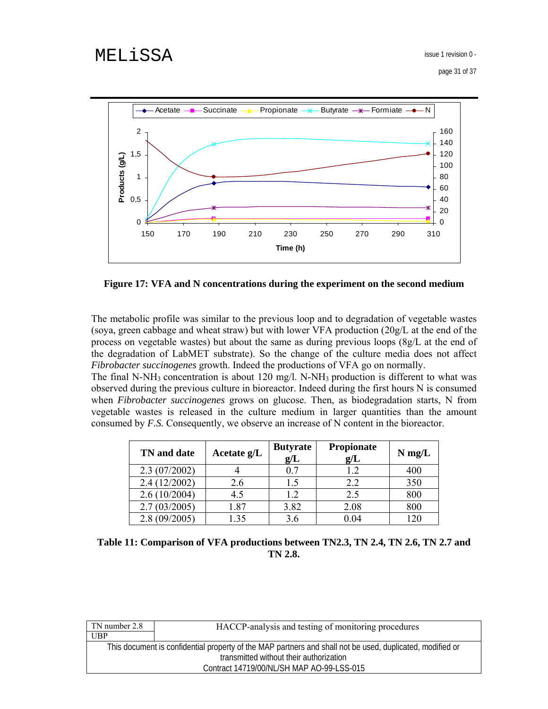page 31 of 37



**Figure 17: VFA and N concentrations during the experiment on the second medium** 

The metabolic profile was similar to the previous loop and to degradation of vegetable wastes (soya, green cabbage and wheat straw) but with lower VFA production (20g/L at the end of the process on vegetable wastes) but about the same as during previous loops (8g/L at the end of the degradation of LabMET substrate). So the change of the culture media does not affect *Fibrobacter succinogenes* growth. Indeed the productions of VFA go on normally.

The final N-NH<sub>3</sub> concentration is about 120 mg/l. N-NH<sub>3</sub> production is different to what was observed during the previous culture in bioreactor. Indeed during the first hours N is consumed when *Fibrobacter succinogenes* grows on glucose. Then, as biodegradation starts, N from vegetable wastes is released in the culture medium in larger quantities than the amount consumed by *F.S.* Consequently, we observe an increase of N content in the bioreactor.

| TN and date  | Acetate $g/L$ | <b>Butyrate</b><br>g/L | Propionate<br>g/L | $N$ mg/L |
|--------------|---------------|------------------------|-------------------|----------|
| 2.3(07/2002) |               | 07                     | 1.2               | 400      |
| 2.4(12/2002) | 2.6           |                        | 2.2               | 350      |
| 2.6(10/2004) | 4.5           | 1.2                    | 2.5               | 800      |
| 2.7(03/2005) | 1.87          | 3.82                   | 2.08              | 800      |
| 2.8(09/2005) | 35            | 3.6                    | 0.04              | 120      |

**Table 11: Comparison of VFA productions between TN2.3, TN 2.4, TN 2.6, TN 2.7 and TN 2.8.** 

| TN number 2.8                                                                                             | HACCP-analysis and testing of monitoring procedures |  |  |
|-----------------------------------------------------------------------------------------------------------|-----------------------------------------------------|--|--|
| UBP                                                                                                       |                                                     |  |  |
| This document is confidential property of the MAP partners and shall not be used, duplicated, modified or |                                                     |  |  |
| transmitted without their authorization                                                                   |                                                     |  |  |
| Contract 14719/00/NL/SH MAP AO-99-LSS-015                                                                 |                                                     |  |  |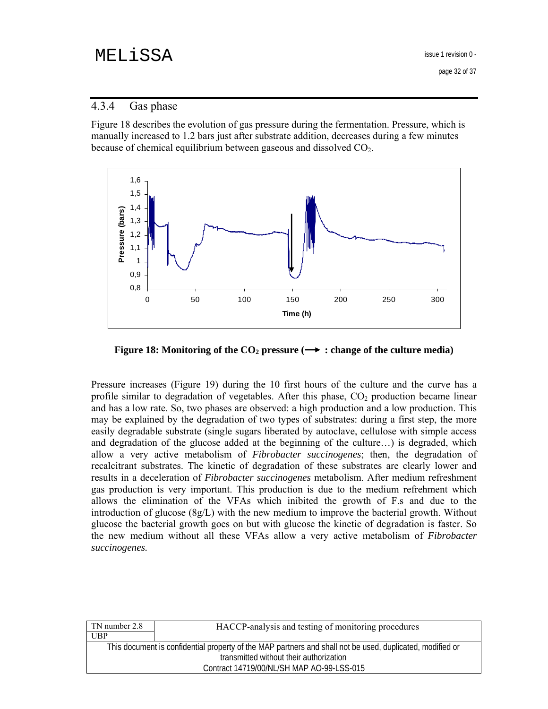page 32 of 37

## 4.3.4 Gas phase

Figure 18 describes the evolution of gas pressure during the fermentation. Pressure, which is manually increased to 1.2 bars just after substrate addition, decreases during a few minutes because of chemical equilibrium between gaseous and dissolved  $CO<sub>2</sub>$ .



**Figure 18: Monitoring of the CO<sub>2</sub> pressure (** $\rightarrow$  **: change of the culture media)** 

Pressure increases (Figure 19) during the 10 first hours of the culture and the curve has a profile similar to degradation of vegetables. After this phase,  $CO<sub>2</sub>$  production became linear and has a low rate. So, two phases are observed: a high production and a low production. This may be explained by the degradation of two types of substrates: during a first step, the more easily degradable substrate (single sugars liberated by autoclave, cellulose with simple access and degradation of the glucose added at the beginning of the culture…) is degraded, which allow a very active metabolism of *Fibrobacter succinogenes*; then, the degradation of recalcitrant substrates. The kinetic of degradation of these substrates are clearly lower and results in a deceleration of *Fibrobacter succinogenes* metabolism. After medium refreshment gas production is very important. This production is due to the medium refrehment which allows the elimination of the VFAs which inibited the growth of F.s and due to the introduction of glucose (8g/L) with the new medium to improve the bacterial growth. Without glucose the bacterial growth goes on but with glucose the kinetic of degradation is faster. So the new medium without all these VFAs allow a very active metabolism of *Fibrobacter succinogenes.* 

| HACCP-analysis and testing of monitoring procedures                                                       |  |  |  |
|-----------------------------------------------------------------------------------------------------------|--|--|--|
|                                                                                                           |  |  |  |
| This document is confidential property of the MAP partners and shall not be used, duplicated, modified or |  |  |  |
| transmitted without their authorization                                                                   |  |  |  |
| Contract 14719/00/NL/SH MAP AO-99-LSS-015                                                                 |  |  |  |
|                                                                                                           |  |  |  |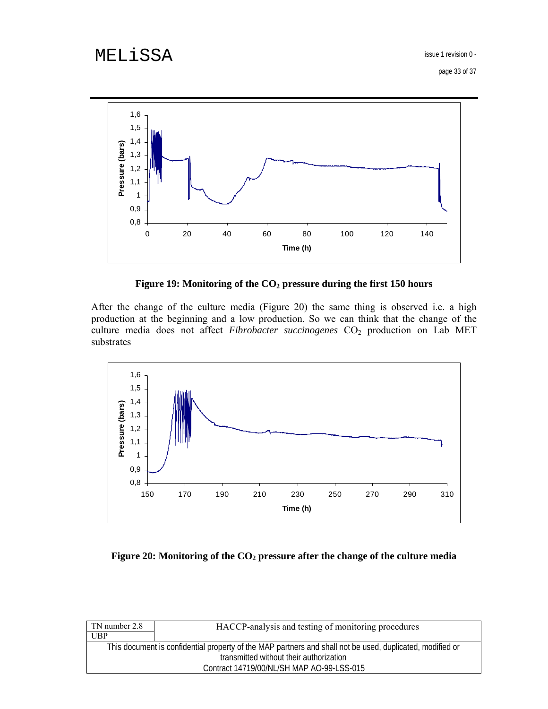page 33 of 37



**Figure 19: Monitoring of the CO2 pressure during the first 150 hours** 

After the change of the culture media (Figure 20) the same thing is observed i.e. a high production at the beginning and a low production. So we can think that the change of the culture media does not affect *Fibrobacter succinogenes* CO<sub>2</sub> production on Lab MET substrates



Figure 20: Monitoring of the CO<sub>2</sub> pressure after the change of the culture media

| HACCP-analysis and testing of monitoring procedures                                                       |  |  |  |
|-----------------------------------------------------------------------------------------------------------|--|--|--|
|                                                                                                           |  |  |  |
| This document is confidential property of the MAP partners and shall not be used, duplicated, modified or |  |  |  |
| transmitted without their authorization                                                                   |  |  |  |
| Contract 14719/00/NL/SH MAP AO-99-LSS-015                                                                 |  |  |  |
|                                                                                                           |  |  |  |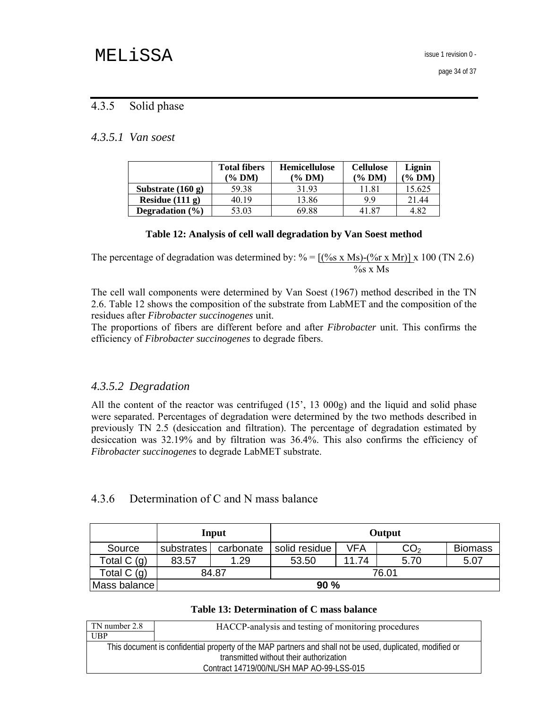## 4.3.5 Solid phase

## *4.3.5.1 Van soest*

|                     | <b>Total fibers</b><br>(% DM) | <b>Hemicellulose</b><br>(% DM) | <b>Cellulose</b><br>$\frac{6}{2}$ DM) | Lignin<br>$\frac{60}{2}$ DM) |
|---------------------|-------------------------------|--------------------------------|---------------------------------------|------------------------------|
| Substrate $(160 g)$ | 59.38                         | 31.93                          | 11.81                                 | 15.625                       |
| Residue $(111 g)$   | 40 19                         | 13.86                          | 99                                    | 21.44                        |
| Degradation $(\% )$ | 53.03                         | 69.88                          | 41.87                                 | 4.82                         |

#### **Table 12: Analysis of cell wall degradation by Van Soest method**

The percentage of degradation was determined by:  $\% = [(\% s \times Ms) - (\% r \times Mr)] \times 100$  (TN 2.6)  $\%$ s x Ms

The cell wall components were determined by Van Soest (1967) method described in the TN 2.6. Table 12 shows the composition of the substrate from LabMET and the composition of the residues after *Fibrobacter succinogenes* unit.

The proportions of fibers are different before and after *Fibrobacter* unit. This confirms the efficiency of *Fibrobacter succinogenes* to degrade fibers.

### *4.3.5.2 Degradation*

All the content of the reactor was centrifuged (15', 13 000g) and the liquid and solid phase were separated. Percentages of degradation were determined by the two methods described in previously TN 2.5 (desiccation and filtration). The percentage of degradation estimated by desiccation was 32.19% and by filtration was 36.4%. This also confirms the efficiency of *Fibrobacter succinogenes* to degrade LabMET substrate.

### 4.3.6 Determination of C and N mass balance

|               | Input      |           |               |       | Output          |                |
|---------------|------------|-----------|---------------|-------|-----------------|----------------|
| Source        | substrates | carbonate | solid residue | VFA   | CO <sub>2</sub> | <b>Biomass</b> |
| Total C (g)   | 83.57      | 1.29      | 53.50         | 11.74 | 5.70            | 5.07           |
| Total $C$ (g) | 84.87      |           | 76.01         |       |                 |                |
| Mass balance  |            |           | 90%           |       |                 |                |

#### **Table 13: Determination of C mass balance**

| TN number 2.8 | HACCP-analysis and testing of monitoring procedures                                                       |
|---------------|-----------------------------------------------------------------------------------------------------------|
| UBP           |                                                                                                           |
|               | This document is confidential property of the MAP partners and shall not be used, duplicated, modified or |
|               | transmitted without their authorization                                                                   |
|               | Contract 14719/00/NL/SH MAP AO-99-LSS-015                                                                 |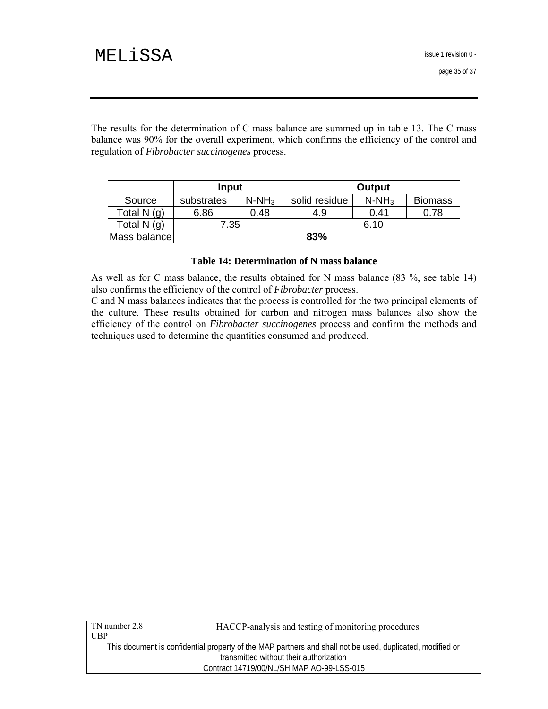The results for the determination of C mass balance are summed up in table 13. The C mass balance was 90% for the overall experiment, which confirms the efficiency of the control and regulation of *Fibrobacter succinogenes* process.

|              | Input      |          |               | Output   |                |
|--------------|------------|----------|---------------|----------|----------------|
| Source       | substrates | $N-NH_3$ | solid residue | $N-NH_3$ | <b>Biomass</b> |
| Total $N(q)$ | 6.86       | 0.48     | 4.9           | 0.41     | 0.78           |
| Total $N(g)$ | 7.35       |          |               | 6.10     |                |
| Mass balance | 83%        |          |               |          |                |

#### **Table 14: Determination of N mass balance**

As well as for C mass balance, the results obtained for N mass balance (83 %, see table 14) also confirms the efficiency of the control of *Fibrobacter* process.

C and N mass balances indicates that the process is controlled for the two principal elements of the culture. These results obtained for carbon and nitrogen mass balances also show the efficiency of the control on *Fibrobacter succinogenes* process and confirm the methods and techniques used to determine the quantities consumed and produced.

| TN number 2.8                             | HACCP-analysis and testing of monitoring procedures                                                       |  |
|-------------------------------------------|-----------------------------------------------------------------------------------------------------------|--|
| UBP                                       |                                                                                                           |  |
|                                           | This document is confidential property of the MAP partners and shall not be used, duplicated, modified or |  |
| transmitted without their authorization   |                                                                                                           |  |
| Contract 14719/00/NL/SH MAP AO-99-LSS-015 |                                                                                                           |  |
|                                           |                                                                                                           |  |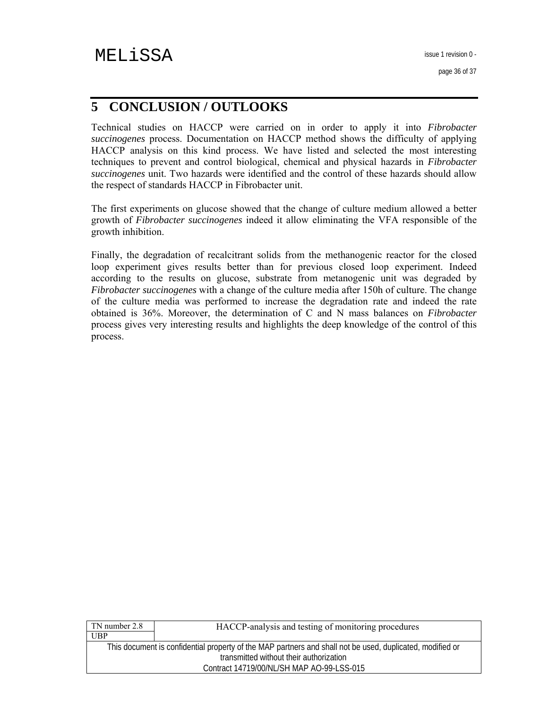# **5 CONCLUSION / OUTLOOKS**

Technical studies on HACCP were carried on in order to apply it into *Fibrobacter succinogenes* process. Documentation on HACCP method shows the difficulty of applying HACCP analysis on this kind process. We have listed and selected the most interesting techniques to prevent and control biological, chemical and physical hazards in *Fibrobacter succinogenes* unit. Two hazards were identified and the control of these hazards should allow the respect of standards HACCP in Fibrobacter unit.

The first experiments on glucose showed that the change of culture medium allowed a better growth of *Fibrobacter succinogenes* indeed it allow eliminating the VFA responsible of the growth inhibition.

Finally, the degradation of recalcitrant solids from the methanogenic reactor for the closed loop experiment gives results better than for previous closed loop experiment. Indeed according to the results on glucose, substrate from metanogenic unit was degraded by *Fibrobacter succinogenes* with a change of the culture media after 150h of culture. The change of the culture media was performed to increase the degradation rate and indeed the rate obtained is 36%. Moreover, the determination of C and N mass balances on *Fibrobacter* process gives very interesting results and highlights the deep knowledge of the control of this process.

| TN number 2.8                             | HACCP-analysis and testing of monitoring procedures                                                       |  |  |
|-------------------------------------------|-----------------------------------------------------------------------------------------------------------|--|--|
| UBP                                       |                                                                                                           |  |  |
|                                           | This document is confidential property of the MAP partners and shall not be used, duplicated, modified or |  |  |
| transmitted without their authorization   |                                                                                                           |  |  |
| Contract 14719/00/NL/SH MAP AO-99-LSS-015 |                                                                                                           |  |  |
|                                           |                                                                                                           |  |  |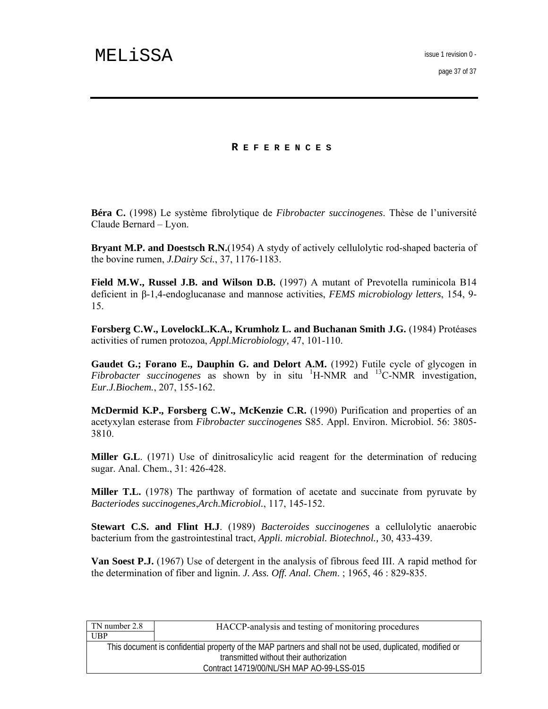page 37 of 37

#### **R EFERENCES**

**Béra C.** (1998) Le système fibrolytique de *Fibrobacter succinogenes*. Thèse de l'université Claude Bernard – Lyon.

**Bryant M.P. and Doestsch R.N.**(1954) A stydy of actively cellulolytic rod-shaped bacteria of the bovine rumen, *J.Dairy Sci.*, 37, 1176-1183.

**Field M.W., Russel J.B. and Wilson D.B.** (1997) A mutant of Prevotella ruminicola B14 deficient in β-1,4-endoglucanase and mannose activities, *FEMS microbiology letters*, 154, 9- 15.

**Forsberg C.W., LovelockL.K.A., Krumholz L. and Buchanan Smith J.G.** (1984) Protéases activities of rumen protozoa, *Appl.Microbiology,* 47, 101-110.

**Gaudet G.; Forano E., Dauphin G. and Delort A.M.** (1992) Futile cycle of glycogen in  $Fibrobacter$  succinogenes as shown by in situ <sup>1</sup>H-NMR and <sup>13</sup>C-NMR investigation, *Eur.J.Biochem.*, 207, 155-162.

**McDermid K.P., Forsberg C.W., McKenzie C.R.** (1990) Purification and properties of an acetyxylan esterase from *Fibrobacter succinogenes* S85. Appl. Environ. Microbiol. 56: 3805- 3810.

**Miller G.L**. (1971) Use of dinitrosalicylic acid reagent for the determination of reducing sugar. Anal. Chem., 31: 426-428.

**Miller T.L.** (1978) The parthway of formation of acetate and succinate from pyruvate by *Bacteriodes succinogenes*,*Arch.Microbiol.*, 117, 145-152.

**Stewart C.S. and Flint H.J**. (1989) *Bacteroides succinogenes* a cellulolytic anaerobic bacterium from the gastrointestinal tract, *Appli. microbial. Biotechnol.,* 30, 433-439.

**Van Soest P.J.** (1967) Use of detergent in the analysis of fibrous feed III. A rapid method for the determination of fiber and lignin. *J. Ass. Off. Anal. Chem*. ; 1965, 46 : 829-835.

| TN number 2.8                             | HACCP-analysis and testing of monitoring procedures                                                       |  |  |
|-------------------------------------------|-----------------------------------------------------------------------------------------------------------|--|--|
| <b>UBP</b>                                |                                                                                                           |  |  |
|                                           | This document is confidential property of the MAP partners and shall not be used, duplicated, modified or |  |  |
| transmitted without their authorization   |                                                                                                           |  |  |
| Contract 14719/00/NL/SH MAP AO-99-LSS-015 |                                                                                                           |  |  |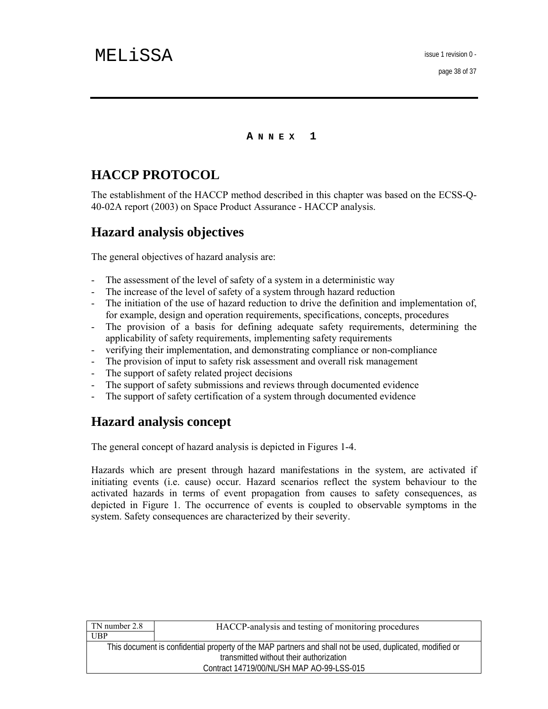**A NNEX 1** 

# **HACCP PROTOCOL**

The establishment of the HACCP method described in this chapter was based on the ECSS-Q-40-02A report (2003) on Space Product Assurance - HACCP analysis.

# **Hazard analysis objectives**

The general objectives of hazard analysis are:

- The assessment of the level of safety of a system in a deterministic way
- The increase of the level of safety of a system through hazard reduction
- The initiation of the use of hazard reduction to drive the definition and implementation of, for example, design and operation requirements, specifications, concepts, procedures
- The provision of a basis for defining adequate safety requirements, determining the applicability of safety requirements, implementing safety requirements
- verifying their implementation, and demonstrating compliance or non-compliance
- The provision of input to safety risk assessment and overall risk management
- The support of safety related project decisions
- The support of safety submissions and reviews through documented evidence
- The support of safety certification of a system through documented evidence

# **Hazard analysis concept**

The general concept of hazard analysis is depicted in Figures 1-4.

Hazards which are present through hazard manifestations in the system, are activated if initiating events (i.e. cause) occur. Hazard scenarios reflect the system behaviour to the activated hazards in terms of event propagation from causes to safety consequences, as depicted in Figure 1. The occurrence of events is coupled to observable symptoms in the system. Safety consequences are characterized by their severity.

| TN number 2.8                             | HACCP-analysis and testing of monitoring procedures                                                       |  |
|-------------------------------------------|-----------------------------------------------------------------------------------------------------------|--|
| UBP                                       |                                                                                                           |  |
|                                           | This document is confidential property of the MAP partners and shall not be used, duplicated, modified or |  |
| transmitted without their authorization   |                                                                                                           |  |
| Contract 14719/00/NL/SH MAP AO-99-LSS-015 |                                                                                                           |  |
|                                           |                                                                                                           |  |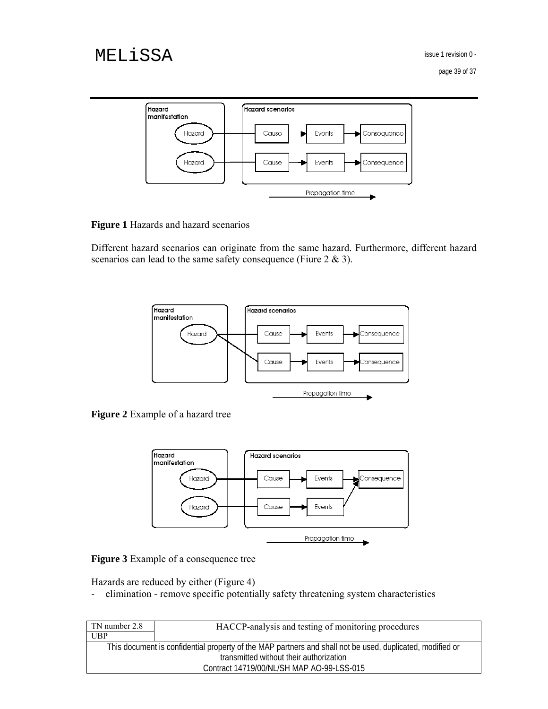page 39 of 37



**Figure 1** Hazards and hazard scenarios

Different hazard scenarios can originate from the same hazard. Furthermore, different hazard scenarios can lead to the same safety consequence (Fiure 2 & 3).



**Figure 2** Example of a hazard tree



**Figure 3** Example of a consequence tree

Hazards are reduced by either (Figure 4)

- elimination - remove specific potentially safety threatening system characteristics

| TN number 2.8                                                                                             | HACCP-analysis and testing of monitoring procedures |  |
|-----------------------------------------------------------------------------------------------------------|-----------------------------------------------------|--|
| UBP                                                                                                       |                                                     |  |
| This document is confidential property of the MAP partners and shall not be used, duplicated, modified or |                                                     |  |
| transmitted without their authorization                                                                   |                                                     |  |
| Contract 14719/00/NL/SH MAP AO-99-LSS-015                                                                 |                                                     |  |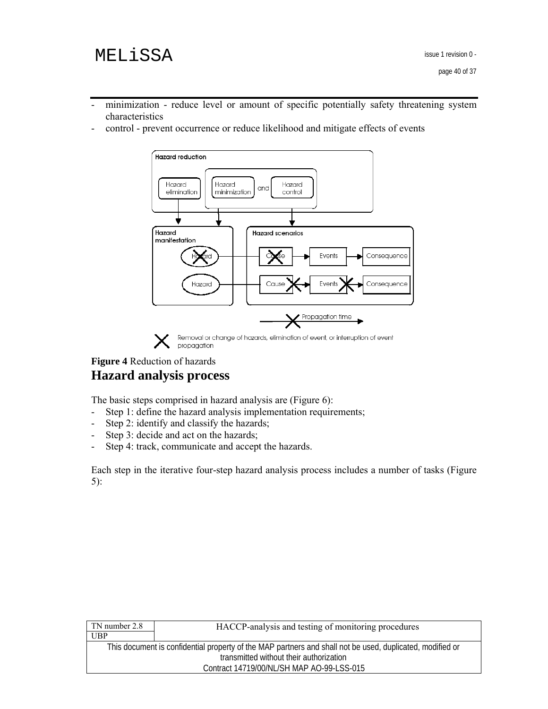- minimization reduce level or amount of specific potentially safety threatening system characteristics
- control prevent occurrence or reduce likelihood and mitigate effects of events



# **Figure 4** Reduction of hazards **Hazard analysis process**

The basic steps comprised in hazard analysis are (Figure 6):

- Step 1: define the hazard analysis implementation requirements;
- Step 2: identify and classify the hazards;
- Step 3: decide and act on the hazards;
- Step 4: track, communicate and accept the hazards.

Each step in the iterative four-step hazard analysis process includes a number of tasks (Figure 5):

| TN number 2.8                             | HACCP-analysis and testing of monitoring procedures                                                       |  |  |
|-------------------------------------------|-----------------------------------------------------------------------------------------------------------|--|--|
| UBP                                       |                                                                                                           |  |  |
|                                           | This document is confidential property of the MAP partners and shall not be used, duplicated, modified or |  |  |
| transmitted without their authorization   |                                                                                                           |  |  |
| Contract 14719/00/NL/SH MAP AO-99-LSS-015 |                                                                                                           |  |  |
|                                           |                                                                                                           |  |  |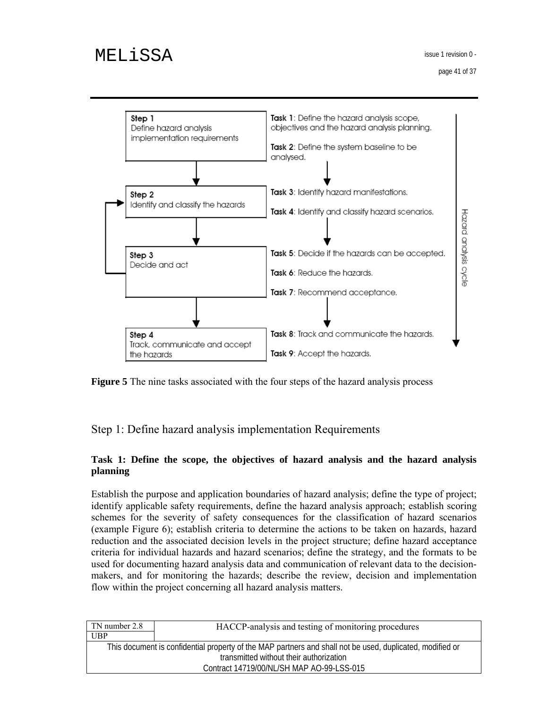

**Figure 5** The nine tasks associated with the four steps of the hazard analysis process

Step 1: Define hazard analysis implementation Requirements

### **Task 1: Define the scope, the objectives of hazard analysis and the hazard analysis planning**

Establish the purpose and application boundaries of hazard analysis; define the type of project; identify applicable safety requirements, define the hazard analysis approach; establish scoring schemes for the severity of safety consequences for the classification of hazard scenarios (example Figure 6); establish criteria to determine the actions to be taken on hazards, hazard reduction and the associated decision levels in the project structure; define hazard acceptance criteria for individual hazards and hazard scenarios; define the strategy, and the formats to be used for documenting hazard analysis data and communication of relevant data to the decisionmakers, and for monitoring the hazards; describe the review, decision and implementation flow within the project concerning all hazard analysis matters.

| TN number 2.8                             | HACCP-analysis and testing of monitoring procedures                                                       |  |  |
|-------------------------------------------|-----------------------------------------------------------------------------------------------------------|--|--|
| UBP                                       |                                                                                                           |  |  |
|                                           | This document is confidential property of the MAP partners and shall not be used, duplicated, modified or |  |  |
| transmitted without their authorization   |                                                                                                           |  |  |
| Contract 14719/00/NL/SH MAP AO-99-LSS-015 |                                                                                                           |  |  |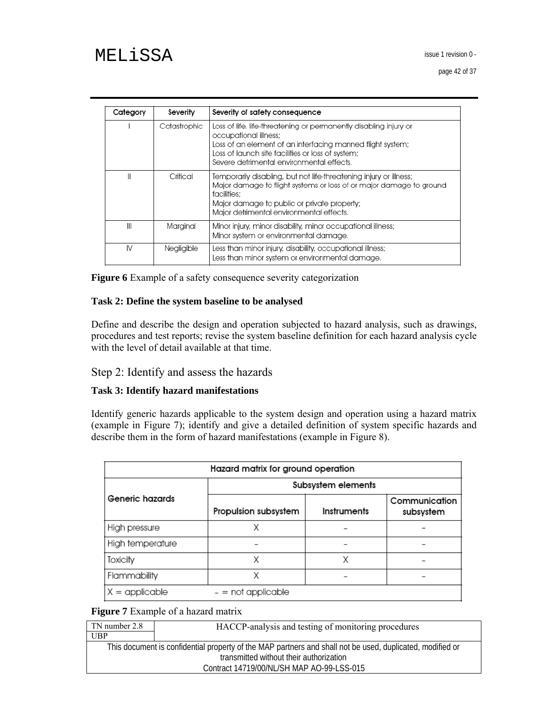page 42 of 37

| Category | Severity     | Severity of safety consequence                                                                                                                                                                                                                             |
|----------|--------------|------------------------------------------------------------------------------------------------------------------------------------------------------------------------------------------------------------------------------------------------------------|
|          | Catastrophic | Loss of life, life-threatening or permanently disabling injury or<br>occupational illness;<br>Loss of an element of an interfacing manned flight system;<br>Loss of launch site facilities or loss of system;<br>Severe detrimental environmental effects. |
| Ш        | Critical     | Temporarily disabling, but not life-threatening injury or illness;<br>Major damage to flight systems or loss of or major damage to ground<br>facilities:<br>Major damage to public or private property;<br>Major detrimental environmental effects.        |
| Ш        | Marainal     | Minor injury, minor disability, minor occupational illness;<br>Minor system or environmental damage.                                                                                                                                                       |
| IV       | Negligible   | Less than minor injury, disability, occupational illness;<br>Less than minor system or environmental damage.                                                                                                                                               |

**Figure 6** Example of a safety consequence severity categorization

#### **Task 2: Define the system baseline to be analysed**

Define and describe the design and operation subjected to hazard analysis, such as drawings, procedures and test reports; revise the system baseline definition for each hazard analysis cycle with the level of detail available at that time.

### Step 2: Identify and assess the hazards

#### **Task 3: Identify hazard manifestations**

Identify generic hazards applicable to the system design and operation using a hazard matrix (example in Figure 7); identify and give a detailed definition of system specific hazards and describe them in the form of hazard manifestations (example in Figure 8).

| Hazard matrix for ground operation |                      |             |                            |  |
|------------------------------------|----------------------|-------------|----------------------------|--|
|                                    | Subsystem elements   |             |                            |  |
| Generic hazards                    | Propulsion subsystem | Instruments | Communication<br>subsystem |  |
| High pressure                      |                      |             |                            |  |
| High temperature                   |                      |             |                            |  |
| Toxicity                           | Χ                    | Χ           |                            |  |
| Flammability                       |                      |             |                            |  |
| $X =$ applicable                   | $-$ = not applicable |             |                            |  |

#### **Figure 7** Example of a hazard matrix

| TN number 2.8                             | HACCP-analysis and testing of monitoring procedures                                                       |  |
|-------------------------------------------|-----------------------------------------------------------------------------------------------------------|--|
| <b>UBP</b>                                |                                                                                                           |  |
|                                           | This document is confidential property of the MAP partners and shall not be used, duplicated, modified or |  |
| transmitted without their authorization   |                                                                                                           |  |
| Contract 14719/00/NL/SH MAP AO-99-LSS-015 |                                                                                                           |  |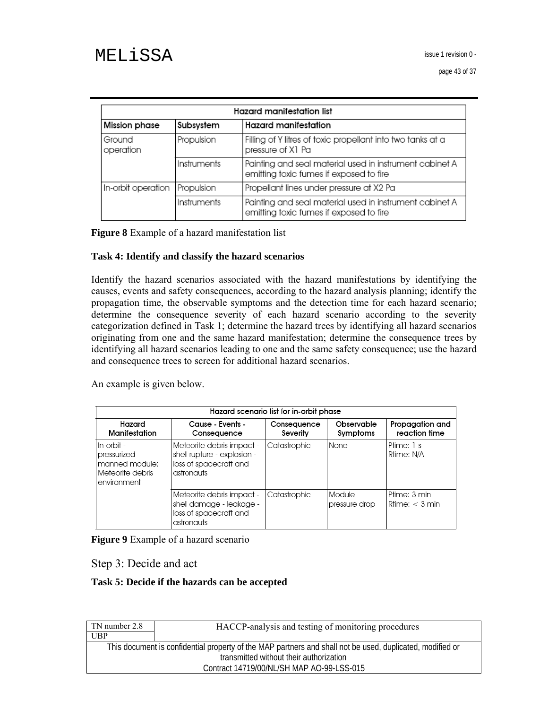| Hazard manifestation list                          |             |                                                                                                    |  |
|----------------------------------------------------|-------------|----------------------------------------------------------------------------------------------------|--|
| Hazard manifestation<br>Subsystem<br>Mission phase |             |                                                                                                    |  |
| Ground<br>operation                                | Propulsion  | Filling of Y litres of toxic propellant into two tanks at a<br>pressure of X1 Pa                   |  |
|                                                    | Instruments | Painting and seal material used in instrument cabinet A<br>emitting toxic fumes if exposed to fire |  |
| In-orbit operation                                 | Propulsion  | Propellant lines under pressure at X2 Pa                                                           |  |
|                                                    | Instruments | Painting and seal material used in instrument cabinet A<br>emitting toxic fumes if exposed to fire |  |

**Figure 8** Example of a hazard manifestation list

#### **Task 4: Identify and classify the hazard scenarios**

Identify the hazard scenarios associated with the hazard manifestations by identifying the causes, events and safety consequences, according to the hazard analysis planning; identify the propagation time, the observable symptoms and the detection time for each hazard scenario; determine the consequence severity of each hazard scenario according to the severity categorization defined in Task 1; determine the hazard trees by identifying all hazard scenarios originating from one and the same hazard manifestation; determine the consequence trees by identifying all hazard scenarios leading to one and the same safety consequence; use the hazard and consequence trees to screen for additional hazard scenarios.

An example is given below.

|                                                                                    |                                                                                                  | Hazard scenario list for in-orbit phase |                         |                                  |
|------------------------------------------------------------------------------------|--------------------------------------------------------------------------------------------------|-----------------------------------------|-------------------------|----------------------------------|
| Hazard<br>Manifestation                                                            | Cause - Events -<br>Consequence                                                                  | Consequence<br>Severity                 | Observable<br>Symptoms  | Propagation and<br>reaction time |
| l In-orbit -<br>pressurized<br>manned module:<br>l Meteorite debris<br>environment | Meteorite debris impact -<br>shell rupture - explosion -<br>loss of spacecraft and<br>astronauts | Catastrophic                            | None                    | Ptime: 1 s<br>Rtime: N/A         |
|                                                                                    | Meteorite debris impact -<br>shell damage - leakage -<br>loss of spacecraft and<br>astronauts    | Catastrophic                            | Module<br>pressure drop | Ptime: 3 min<br>Rtime: < 3 min   |

**Figure 9** Example of a hazard scenario

Step 3: Decide and act

#### **Task 5: Decide if the hazards can be accepted**

| TN number 2.8 | HACCP-analysis and testing of monitoring procedures                                                       |
|---------------|-----------------------------------------------------------------------------------------------------------|
| UBP           |                                                                                                           |
|               | This document is confidential property of the MAP partners and shall not be used, duplicated, modified or |
|               | transmitted without their authorization                                                                   |
|               | Contract 14719/00/NL/SH MAP AO-99-LSS-015                                                                 |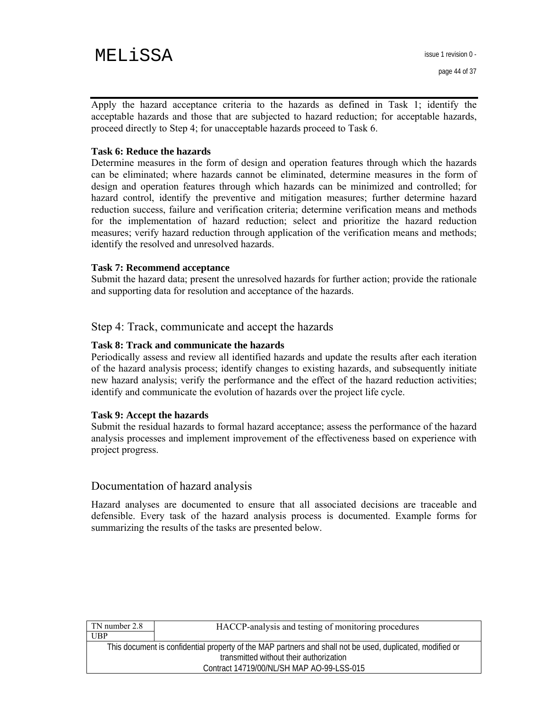Apply the hazard acceptance criteria to the hazards as defined in Task 1; identify the acceptable hazards and those that are subjected to hazard reduction; for acceptable hazards, proceed directly to Step 4; for unacceptable hazards proceed to Task 6.

#### **Task 6: Reduce the hazards**

Determine measures in the form of design and operation features through which the hazards can be eliminated; where hazards cannot be eliminated, determine measures in the form of design and operation features through which hazards can be minimized and controlled; for hazard control, identify the preventive and mitigation measures; further determine hazard reduction success, failure and verification criteria; determine verification means and methods for the implementation of hazard reduction; select and prioritize the hazard reduction measures; verify hazard reduction through application of the verification means and methods; identify the resolved and unresolved hazards.

#### **Task 7: Recommend acceptance**

Submit the hazard data; present the unresolved hazards for further action; provide the rationale and supporting data for resolution and acceptance of the hazards.

#### Step 4: Track, communicate and accept the hazards

#### **Task 8: Track and communicate the hazards**

Periodically assess and review all identified hazards and update the results after each iteration of the hazard analysis process; identify changes to existing hazards, and subsequently initiate new hazard analysis; verify the performance and the effect of the hazard reduction activities; identify and communicate the evolution of hazards over the project life cycle.

#### **Task 9: Accept the hazards**

Submit the residual hazards to formal hazard acceptance; assess the performance of the hazard analysis processes and implement improvement of the effectiveness based on experience with project progress.

#### Documentation of hazard analysis

Hazard analyses are documented to ensure that all associated decisions are traceable and defensible. Every task of the hazard analysis process is documented. Example forms for summarizing the results of the tasks are presented below.

| TN number 2.8 | HACCP-analysis and testing of monitoring procedures                                                       |
|---------------|-----------------------------------------------------------------------------------------------------------|
| UBP           |                                                                                                           |
|               | This document is confidential property of the MAP partners and shall not be used, duplicated, modified or |
|               | transmitted without their authorization                                                                   |
|               | Contract 14719/00/NL/SH MAP AO-99-LSS-015                                                                 |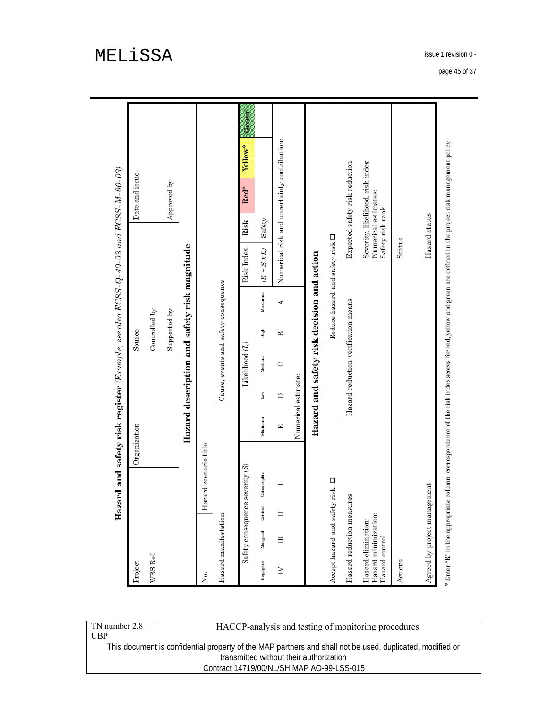|                                                                                                                                                            |              | Hazard and safety risk register (Example, see also ECSS-Q-40-03 and ECSS-M-00-03) |        |                                      |                                              |                                           |                                   |                     |        |
|------------------------------------------------------------------------------------------------------------------------------------------------------------|--------------|-----------------------------------------------------------------------------------|--------|--------------------------------------|----------------------------------------------|-------------------------------------------|-----------------------------------|---------------------|--------|
| Project                                                                                                                                                    | Organization |                                                                                   | Source |                                      |                                              |                                           | Date and issue                    |                     |        |
| WBS Ref.                                                                                                                                                   |              |                                                                                   |        | Controlled by                        |                                              |                                           |                                   |                     |        |
|                                                                                                                                                            |              |                                                                                   |        | Supported by                         |                                              |                                           | Approved by                       |                     |        |
|                                                                                                                                                            |              | Hazard description and safety risk magnitude                                      |        |                                      |                                              |                                           |                                   |                     |        |
| Hazard scenario title<br>ż.                                                                                                                                |              |                                                                                   |        |                                      |                                              |                                           |                                   |                     |        |
| Hazard manifestation                                                                                                                                       |              |                                                                                   |        | Cause, events and safety consequence |                                              |                                           |                                   |                     |        |
| Safety consequence severity (S)                                                                                                                            |              | Likelihood $(L)$                                                                  |        |                                      | Risk Index                                   | Risk                                      | Red*                              | Yellow <sup>*</sup> | ta ana |
| Catastrophic<br>Critical<br>Marginal<br>Negligible                                                                                                         | Minimum      | Medium<br>Low                                                                     |        | Maximum<br>High                      | $= S X L$<br>æ                               | Safety                                    |                                   |                     |        |
| 目<br>Σ                                                                                                                                                     | 囯            | O<br>≏                                                                            |        | ⋖<br>В                               | Numerical risk and uncertainty contribution: |                                           |                                   |                     |        |
|                                                                                                                                                            |              | Numerical estimate:                                                               |        |                                      |                                              |                                           |                                   |                     |        |
|                                                                                                                                                            |              | Hazard and safety risk decision and action                                        |        |                                      |                                              |                                           |                                   |                     |        |
| $\Box$<br>risk<br>Accept hazard and safety                                                                                                                 |              |                                                                                   |        |                                      | Reduce hazard and safety risk $\Box$         |                                           |                                   |                     |        |
| Hazard reduction measures                                                                                                                                  |              | Hazard reduction verification means                                               |        |                                      |                                              |                                           | Expected safety risk reduction    |                     |        |
| Hazard minimization:<br>Hazard elimination:<br>Hazard control:                                                                                             |              |                                                                                   |        |                                      |                                              | Numerical estimates:<br>Safety risk rank: | Severity, likelihood, risk index: |                     |        |
| Actions                                                                                                                                                    |              |                                                                                   |        |                                      | Status                                       |                                           |                                   |                     |        |
| Agreed by project management                                                                                                                               |              |                                                                                   |        |                                      |                                              | Hazard status                             |                                   |                     |        |
| * Enter "R" in the appropriate column: correspondence of the risk index scores for red, yellow and green are defined in the project risk management policy |              |                                                                                   |        |                                      |                                              |                                           |                                   |                     |        |

| TN number 2.8 | HACCP-analysis and testing of monitoring procedures                                                       |
|---------------|-----------------------------------------------------------------------------------------------------------|
| UBP           |                                                                                                           |
|               | This document is confidential property of the MAP partners and shall not be used, duplicated, modified or |
|               | transmitted without their authorization                                                                   |
|               | Contract 14719/00/NL/SH MAP AO-99-LSS-015                                                                 |

page 45 of 37